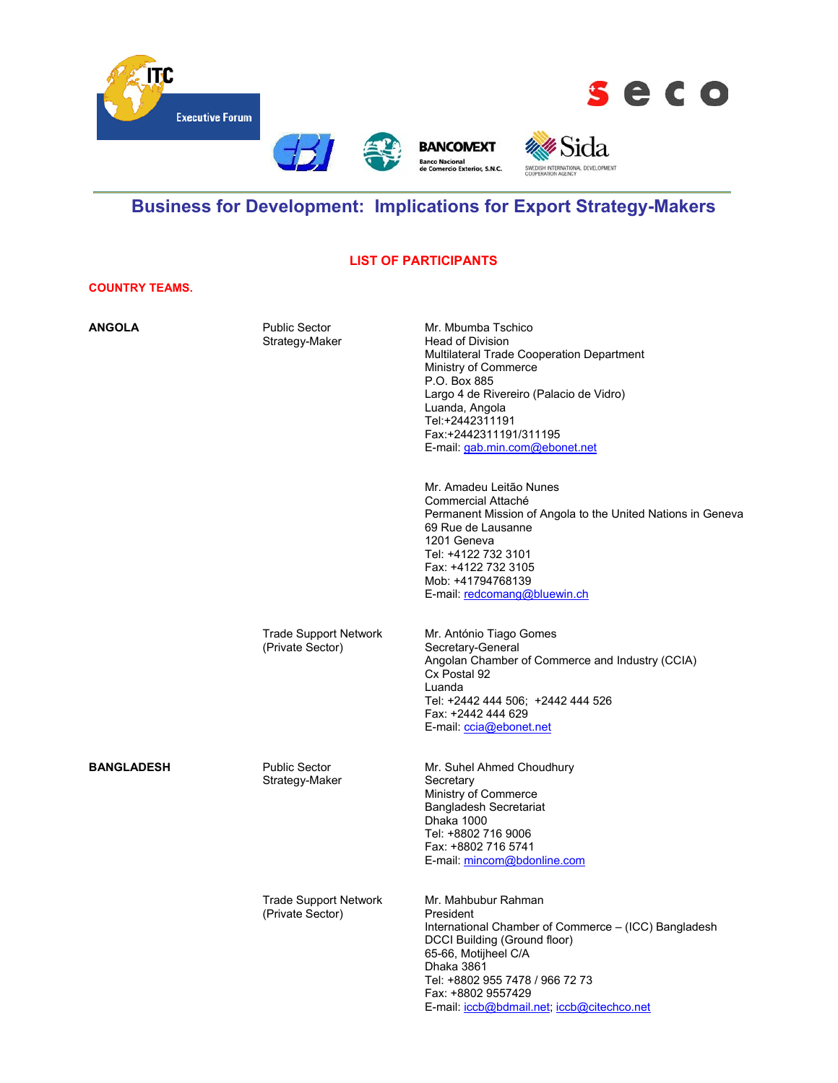

# **Business for Development: Implications for Export Strategy-Makers**

#### **LIST OF PARTICIPANTS**

#### **COUNTRY TEAMS.**

| <b>ANGOLA</b>     | <b>Public Sector</b><br>Strategy-Maker           | Mr. Mbumba Tschico<br><b>Head of Division</b><br>Multilateral Trade Cooperation Department<br>Ministry of Commerce<br>P.O. Box 885<br>Largo 4 de Rivereiro (Palacio de Vidro)<br>Luanda, Angola<br>Tel:+2442311191<br>Fax:+2442311191/311195<br>E-mail gab.min.com@ebonet.net |
|-------------------|--------------------------------------------------|-------------------------------------------------------------------------------------------------------------------------------------------------------------------------------------------------------------------------------------------------------------------------------|
|                   |                                                  | Mr. Amadeu Leitão Nunes<br>Commercial Attaché<br>Permanent Mission of Angola to the United Nations in Geneva<br>69 Rue de Lausanne<br>1201 Geneva<br>Tel: +4122 732 3101<br>Fax: +4122 732 3105<br>Mob: +41794768139<br>E-mail: redcomang@bluewin.ch                          |
|                   | <b>Trade Support Network</b><br>(Private Sector) | Mr. António Tiago Gomes<br>Secretary-General<br>Angolan Chamber of Commerce and Industry (CCIA)<br>Cx Postal 92<br>Luanda<br>Tel: +2442 444 506; +2442 444 526<br>Fax: +2442 444 629<br>E-mail: ccia@ebonet.net                                                               |
| <b>BANGLADESH</b> | <b>Public Sector</b><br>Strategy-Maker           | Mr. Suhel Ahmed Choudhury<br>Secretary<br>Ministry of Commerce<br><b>Bangladesh Secretariat</b><br>Dhaka 1000<br>Tel: +8802 716 9006<br>Fax: +8802 716 5741<br>E-mail: mincom@bdonline.com                                                                                    |
|                   | <b>Trade Support Network</b><br>(Private Sector) | Mr. Mahbubur Rahman<br>President<br>International Chamber of Commerce – (ICC) Bangladesh<br>DCCI Building (Ground floor)<br>65-66, Motijheel C/A<br>Dhaka 3861<br>Tel: +8802 955 7478 / 966 72 73<br>Fax: +8802 9557429<br>E-mail: iccb@bdmail.net, iccb@citechco.net         |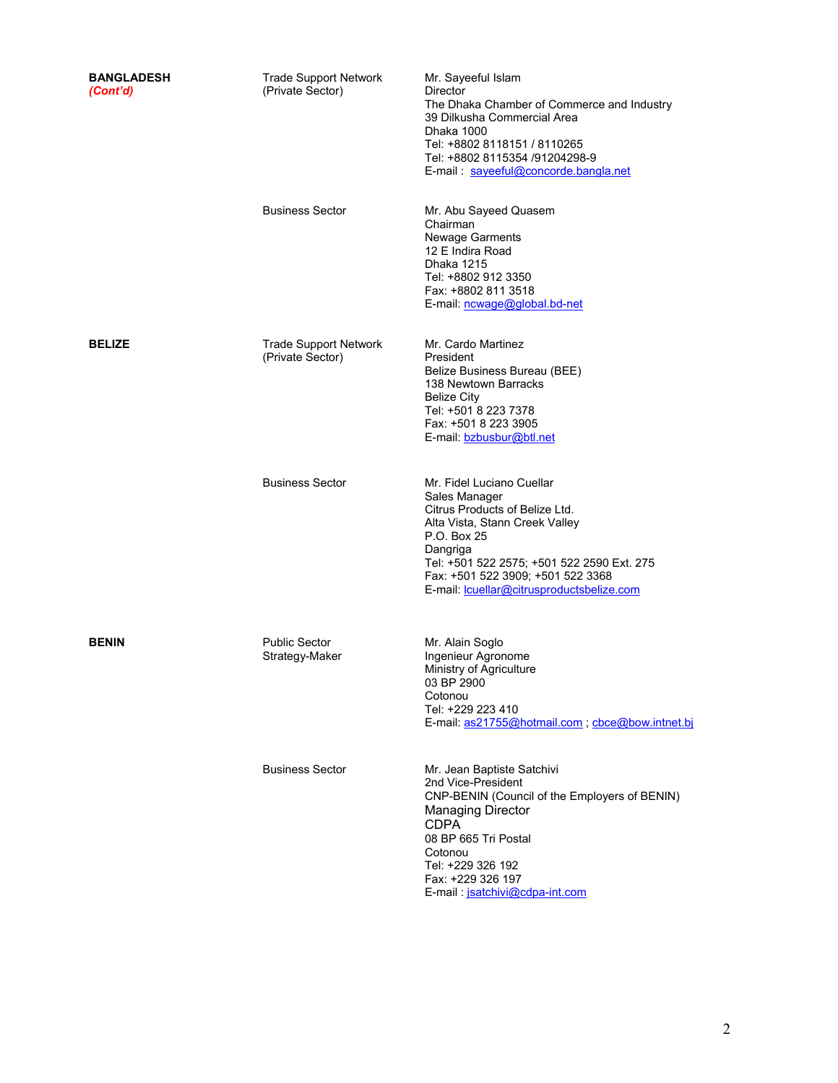| <b>BANGLADESH</b><br>(Cont'd) | <b>Trade Support Network</b><br>(Private Sector) | Mr. Sayeeful Islam<br>Director<br>The Dhaka Chamber of Commerce and Industry<br>39 Dilkusha Commercial Area<br>Dhaka 1000<br>Tel: +8802 8118151 / 8110265<br>Tel: +8802 8115354 /91204298-9<br>E-mail: sayeeful@concorde.bangla.net                                      |
|-------------------------------|--------------------------------------------------|--------------------------------------------------------------------------------------------------------------------------------------------------------------------------------------------------------------------------------------------------------------------------|
|                               | <b>Business Sector</b>                           | Mr. Abu Sayeed Quasem<br>Chairman<br><b>Newage Garments</b><br>12 E Indira Road<br>Dhaka 1215<br>Tel: +8802 912 3350<br>Fax: +8802 811 3518<br>E-mail: ncwage@global.bd-net                                                                                              |
| <b>BELIZE</b>                 | <b>Trade Support Network</b><br>(Private Sector) | Mr. Cardo Martinez<br>President<br>Belize Business Bureau (BEE)<br>138 Newtown Barracks<br><b>Belize City</b><br>Tel: +501 8 223 7378<br>Fax: +501 8 223 3905<br>E-mail: bzbusbur@btl.net                                                                                |
|                               | <b>Business Sector</b>                           | Mr. Fidel Luciano Cuellar<br>Sales Manager<br>Citrus Products of Belize Ltd.<br>Alta Vista, Stann Creek Valley<br>P.O. Box 25<br>Dangriga<br>Tel: +501 522 2575; +501 522 2590 Ext. 275<br>Fax: +501 522 3909; +501 522 3368<br>E-mail lcuellar@citrusproductsbelize.com |
| <b>BENIN</b>                  | <b>Public Sector</b><br>Strategy-Maker           | Mr. Alain Soglo<br>Ingenieur Agronome<br>Ministry of Agriculture<br>03 BP 2900<br>Cotonou<br>Tel: +229 223 410<br>E-mail: as21755@hotmail.com, cbce@bow.intnet.bj                                                                                                        |
|                               | <b>Business Sector</b>                           | Mr. Jean Baptiste Satchivi<br>2nd Vice-President<br>CNP-BENIN (Council of the Employers of BENIN)<br><b>Managing Director</b><br><b>CDPA</b><br>08 BP 665 Tri Postal<br>Cotonou<br>Tel: +229 326 192<br>Fax: +229 326 197<br>E-mail: jsatchivi@cdpa-int.com              |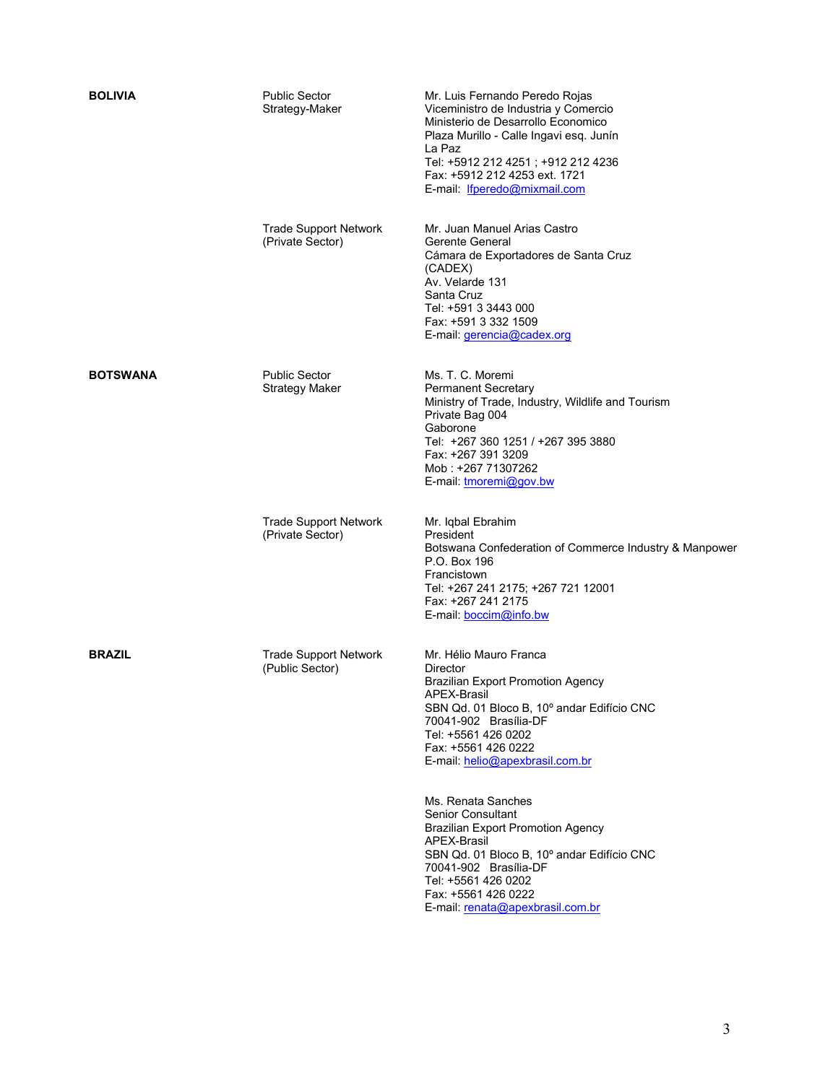| <b>BOLIVIA</b>  | <b>Public Sector</b><br>Strategy-Maker           | Mr. Luis Fernando Peredo Rojas<br>Viceministro de Industria y Comercio<br>Ministerio de Desarrollo Economico<br>Plaza Murillo - Calle Ingavi esq. Junín<br>La Paz<br>Tel: +5912 212 4251 ; +912 212 4236<br>Fax: +5912 212 4253 ext. 1721<br>E-mail: Ifperedo@mixmail.com |
|-----------------|--------------------------------------------------|---------------------------------------------------------------------------------------------------------------------------------------------------------------------------------------------------------------------------------------------------------------------------|
|                 | <b>Trade Support Network</b><br>(Private Sector) | Mr. Juan Manuel Arias Castro<br>Gerente General<br>Cámara de Exportadores de Santa Cruz<br>(CADEX)<br>Av. Velarde 131<br>Santa Cruz<br>Tel: +591 3 3443 000<br>Fax: +591 3 332 1509<br>E-mail: <i>gerencia@cadex.org</i>                                                  |
| <b>BOTSWANA</b> | <b>Public Sector</b><br><b>Strategy Maker</b>    | Ms. T. C. Moremi<br><b>Permanent Secretary</b><br>Ministry of Trade, Industry, Wildlife and Tourism<br>Private Bag 004<br>Gaborone<br>Tel: +267 360 1251 / +267 395 3880<br>Fax: +267 391 3209<br>Mob: +267 71307262<br>E-mail: <i>tmoremi@gov.bw</i>                     |
|                 | <b>Trade Support Network</b><br>(Private Sector) | Mr. Iqbal Ebrahim<br>President<br>Botswana Confederation of Commerce Industry & Manpower<br>P.O. Box 196<br>Francistown<br>Tel: +267 241 2175; +267 721 12001<br>Fax: +267 241 2175<br>E-mail: boccim@info.bw                                                             |
| <b>BRAZIL</b>   | <b>Trade Support Network</b><br>(Public Sector)  | Mr. Hélio Mauro Franca<br>Director<br><b>Brazilian Export Promotion Agency</b><br>APEX-Brasil<br>SBN Qd. 01 Bloco B, 10° andar Edifício CNC<br>70041-902 Brasília-DF<br>Tel: +5561 426 0202<br>Fax: +5561 426 0222<br>E-mail helio@apexbrasil.com.br                      |
|                 |                                                  | Ms. Renata Sanches<br>Senior Consultant<br><b>Brazilian Export Promotion Agency</b><br>APEX-Brasil<br>SBN Qd. 01 Bloco B, 10° andar Edifício CNC<br>70041-902 Brasília-DF<br>Tel: +5561 426 0202<br>Fax: +5561 426 0222<br>E-mail: renata@apexbrasil.com.br               |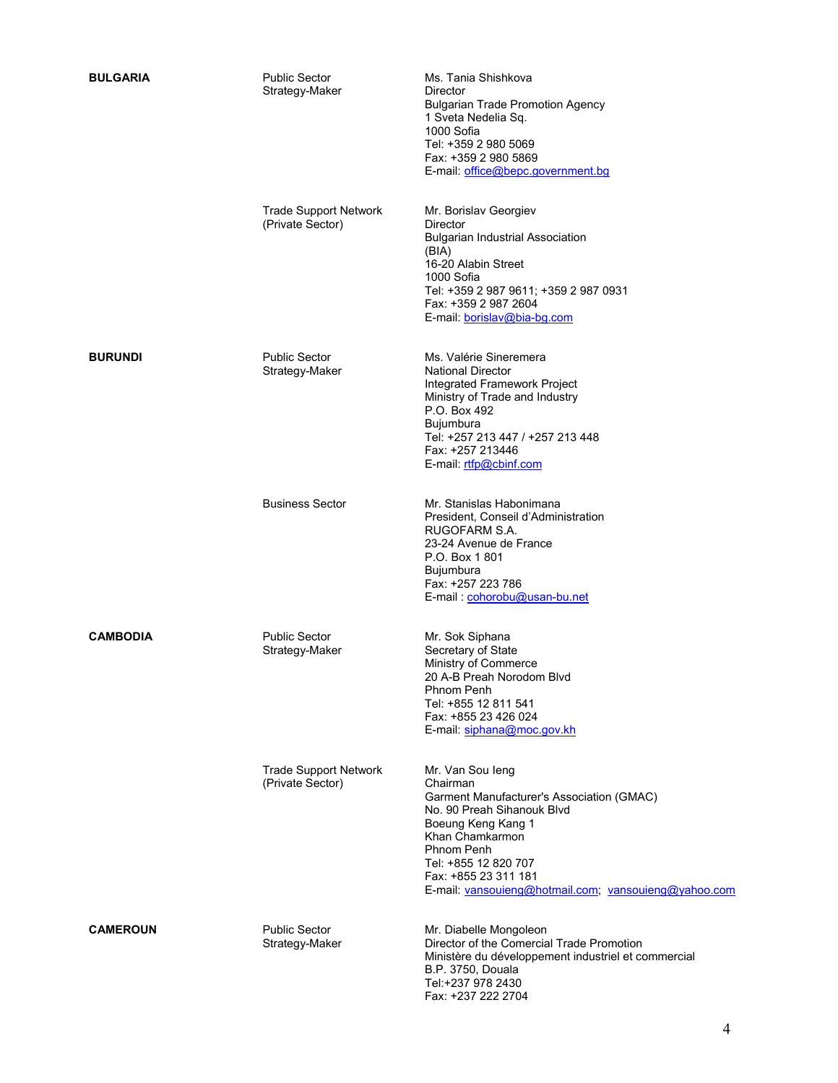| <b>BULGARIA</b> | <b>Public Sector</b><br>Strategy-Maker           | Ms. Tania Shishkova<br><b>Director</b><br><b>Bulgarian Trade Promotion Agency</b><br>1 Sveta Nedelia Sq.<br>1000 Sofia<br>Tel: +359 2 980 5069<br>Fax: +359 2 980 5869<br>E-mail: office@bepc.government.bg                                                            |
|-----------------|--------------------------------------------------|------------------------------------------------------------------------------------------------------------------------------------------------------------------------------------------------------------------------------------------------------------------------|
|                 | <b>Trade Support Network</b><br>(Private Sector) | Mr. Borislav Georgiev<br><b>Director</b><br><b>Bulgarian Industrial Association</b><br>(BIA)<br>16-20 Alabin Street<br>1000 Sofia<br>Tel: +359 2 987 9611; +359 2 987 0931<br>Fax: +359 2 987 2604<br>E-mail: borislav@bia-bg.com                                      |
| <b>BURUNDI</b>  | <b>Public Sector</b><br>Strategy-Maker           | Ms. Valérie Sineremera<br><b>National Director</b><br>Integrated Framework Project<br>Ministry of Trade and Industry<br>P.O. Box 492<br>Bujumbura<br>Tel: +257 213 447 / +257 213 448<br>Fax: +257 213446<br>E-mail: rtfp@cbinf.com                                    |
|                 | <b>Business Sector</b>                           | Mr. Stanislas Habonimana<br>President, Conseil d'Administration<br>RUGOFARM S.A.<br>23-24 Avenue de France<br>P.O. Box 1801<br><b>Bujumbura</b><br>Fax: +257 223 786<br>E-mail: cohorobu@usan-bu.net                                                                   |
| <b>CAMBODIA</b> | <b>Public Sector</b><br>Strategy-Maker           | Mr. Sok Siphana<br>Secretary of State<br>Ministry of Commerce<br>20 A-B Preah Norodom Blvd<br>Phnom Penh<br>Tel: +855 12 811 541<br>Fax: +855 23 426 024<br>E-mail: siphana@moc.gov.kh                                                                                 |
|                 | <b>Trade Support Network</b><br>(Private Sector) | Mr. Van Sou leng<br>Chairman<br>Garment Manufacturer's Association (GMAC)<br>No. 90 Preah Sihanouk Blvd<br>Boeung Keng Kang 1<br>Khan Chamkarmon<br>Phnom Penh<br>Tel: +855 12 820 707<br>Fax: +855 23 311 181<br>E-mail: vansouieng@hotmail.com; vansouieng@yahoo.com |
| <b>CAMEROUN</b> | <b>Public Sector</b><br>Strategy-Maker           | Mr. Diabelle Mongoleon<br>Director of the Comercial Trade Promotion<br>Ministère du développement industriel et commercial<br>B.P. 3750, Douala<br>Tel:+237 978 2430<br>Fax: +237 222 2704                                                                             |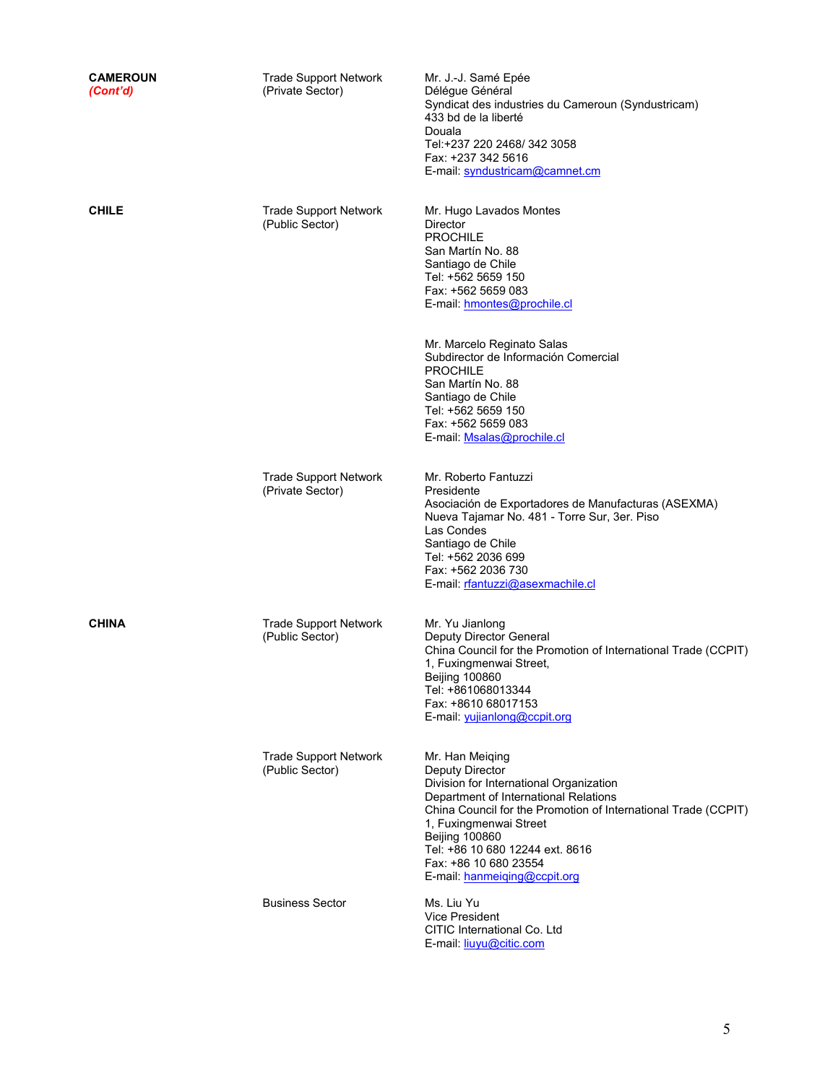| <b>CAMEROUN</b><br>(Cont'd) | <b>Trade Support Network</b><br>(Private Sector) | Mr. J.-J. Samé Epée<br>Délégue Général<br>Syndicat des industries du Cameroun (Syndustricam)<br>433 bd de la liberté<br>Douala<br>Tel:+237 220 2468/ 342 3058<br>Fax: +237 342 5616<br>E-mail: syndustricam@camnet.cm                                                                                                                          |
|-----------------------------|--------------------------------------------------|------------------------------------------------------------------------------------------------------------------------------------------------------------------------------------------------------------------------------------------------------------------------------------------------------------------------------------------------|
| <b>CHILE</b>                | <b>Trade Support Network</b><br>(Public Sector)  | Mr. Hugo Lavados Montes<br>Director<br><b>PROCHILE</b><br>San Martín No. 88<br>Santiago de Chile<br>Tel: +562 5659 150<br>Fax: +562 5659 083<br>E-mail: hmontes@prochile.cl<br>Mr. Marcelo Reginato Salas                                                                                                                                      |
|                             |                                                  | Subdirector de Información Comercial<br><b>PROCHILE</b><br>San Martín No. 88<br>Santiago de Chile<br>Tel: +562 5659 150<br>Fax: +562 5659 083<br>E-mail Msalas@prochile.cl                                                                                                                                                                     |
|                             | <b>Trade Support Network</b><br>(Private Sector) | Mr. Roberto Fantuzzi<br>Presidente<br>Asociación de Exportadores de Manufacturas (ASEXMA)<br>Nueva Tajamar No. 481 - Torre Sur, 3er. Piso<br>Las Condes<br>Santiago de Chile<br>Tel: +562 2036 699<br>Fax: +562 2036 730<br>E-mail: rfantuzzi@asexmachile.cl                                                                                   |
| <b>CHINA</b>                | <b>Trade Support Network</b><br>(Public Sector)  | Mr. Yu Jianlong<br>Deputy Director General<br>China Council for the Promotion of International Trade (CCPIT)<br>1. Fuxingmenwai Street.<br><b>Belling 100860</b><br>Tel: +861068013344<br>Fax: +8610 68017153<br>E-mail: yujianlong@ccpit.org                                                                                                  |
|                             | <b>Trade Support Network</b><br>(Public Sector)  | Mr. Han Meiqing<br><b>Deputy Director</b><br>Division for International Organization<br>Department of International Relations<br>China Council for the Promotion of International Trade (CCPIT)<br>1, Fuxingmenwai Street<br><b>Beijing 100860</b><br>Tel: +86 10 680 12244 ext. 8616<br>Fax: +86 10 680 23554<br>E-mail: hanmeiging@ccpit.org |
|                             | <b>Business Sector</b>                           | Ms. Liu Yu<br><b>Vice President</b><br>CITIC International Co. Ltd                                                                                                                                                                                                                                                                             |

E-mail: liuyu@citic.com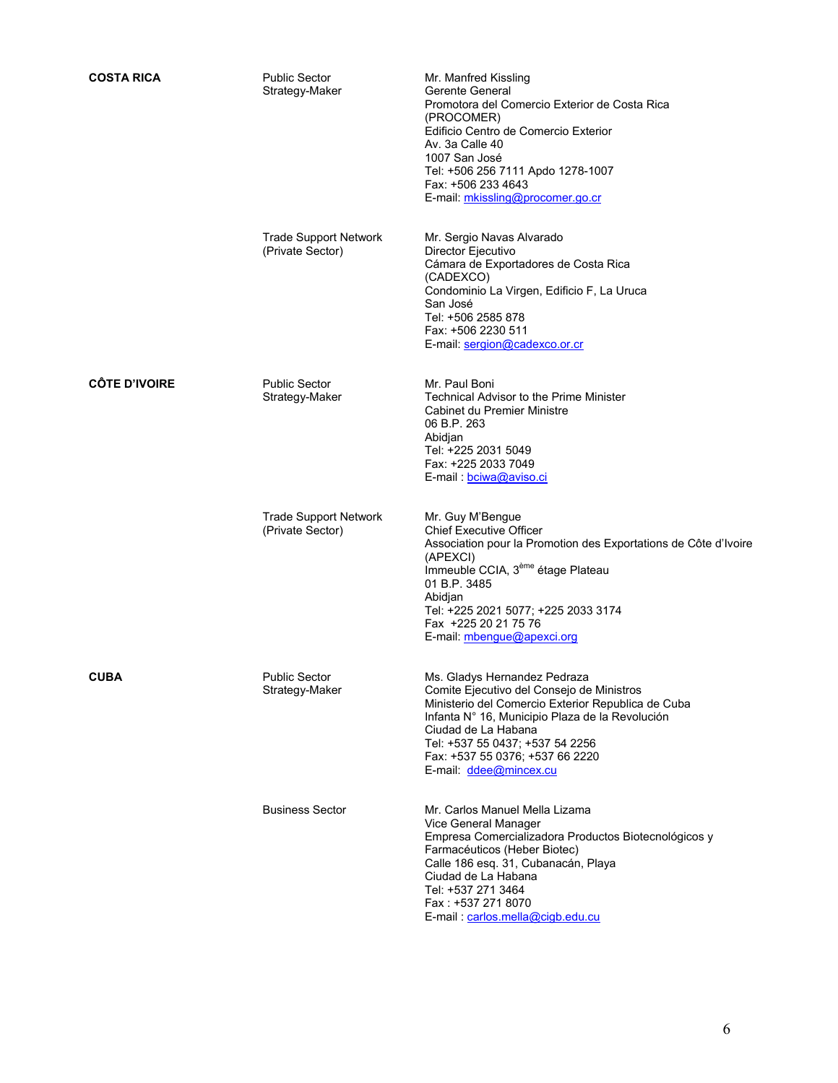| <b>COSTA RICA</b>    | <b>Public Sector</b><br>Strategy-Maker           | Mr. Manfred Kissling<br>Gerente General<br>Promotora del Comercio Exterior de Costa Rica<br>(PROCOMER)<br>Edificio Centro de Comercio Exterior<br>Av. 3a Calle 40<br>1007 San José<br>Tel: +506 256 7111 Apdo 1278-1007<br>Fax: +506 233 4643<br>E-mail: mkissling@procomer.go.cr                          |
|----------------------|--------------------------------------------------|------------------------------------------------------------------------------------------------------------------------------------------------------------------------------------------------------------------------------------------------------------------------------------------------------------|
|                      | <b>Trade Support Network</b><br>(Private Sector) | Mr. Sergio Navas Alvarado<br>Director Ejecutivo<br>Cámara de Exportadores de Costa Rica<br>(CADEXCO)<br>Condominio La Virgen, Edificio F, La Uruca<br>San José<br>Tel: +506 2585 878<br>Fax: +506 2230 511<br>E-mail: sergion@cadexco.or.cr                                                                |
| <b>CÔTE D'IVOIRE</b> | <b>Public Sector</b><br>Strategy-Maker           | Mr. Paul Boni<br><b>Technical Advisor to the Prime Minister</b><br>Cabinet du Premier Ministre<br>06 B.P. 263<br>Abidjan<br>Tel: +225 2031 5049<br>Fax: +225 2033 7049<br>E-mail: bciwa@aviso.ci                                                                                                           |
|                      | <b>Trade Support Network</b><br>(Private Sector) | Mr. Guy M'Bengue<br><b>Chief Executive Officer</b><br>Association pour la Promotion des Exportations de Côte d'Ivoire<br>(APEXCI)<br>Immeuble CCIA, 3 <sup>ème</sup> étage Plateau<br>01 B.P. 3485<br>Abidjan<br>Tel: +225 2021 5077; +225 2033 3174<br>Fax +225 20 21 75 76<br>E-mail: mbengue@apexci.org |
| <b>CUBA</b>          | <b>Public Sector</b><br>Strategy-Maker           | Ms. Gladys Hernandez Pedraza<br>Comite Ejecutivo del Consejo de Ministros<br>Ministerio del Comercio Exterior Republica de Cuba<br>Infanta Nº 16, Municipio Plaza de la Revolución<br>Ciudad de La Habana<br>Tel: +537 55 0437; +537 54 2256<br>Fax: +537 55 0376; +537 66 2220<br>E-mail: ddee@mincex.cu  |
|                      | <b>Business Sector</b>                           | Mr. Carlos Manuel Mella Lizama<br>Vice General Manager<br>Empresa Comercializadora Productos Biotecnológicos y<br>Farmacéuticos (Heber Biotec)<br>Calle 186 esq. 31, Cubanacán, Playa<br>Ciudad de La Habana<br>Tel: +537 271 3464<br>Fax: +537 271 8070<br>E-mail: carlos.mella@cigb.edu.cu               |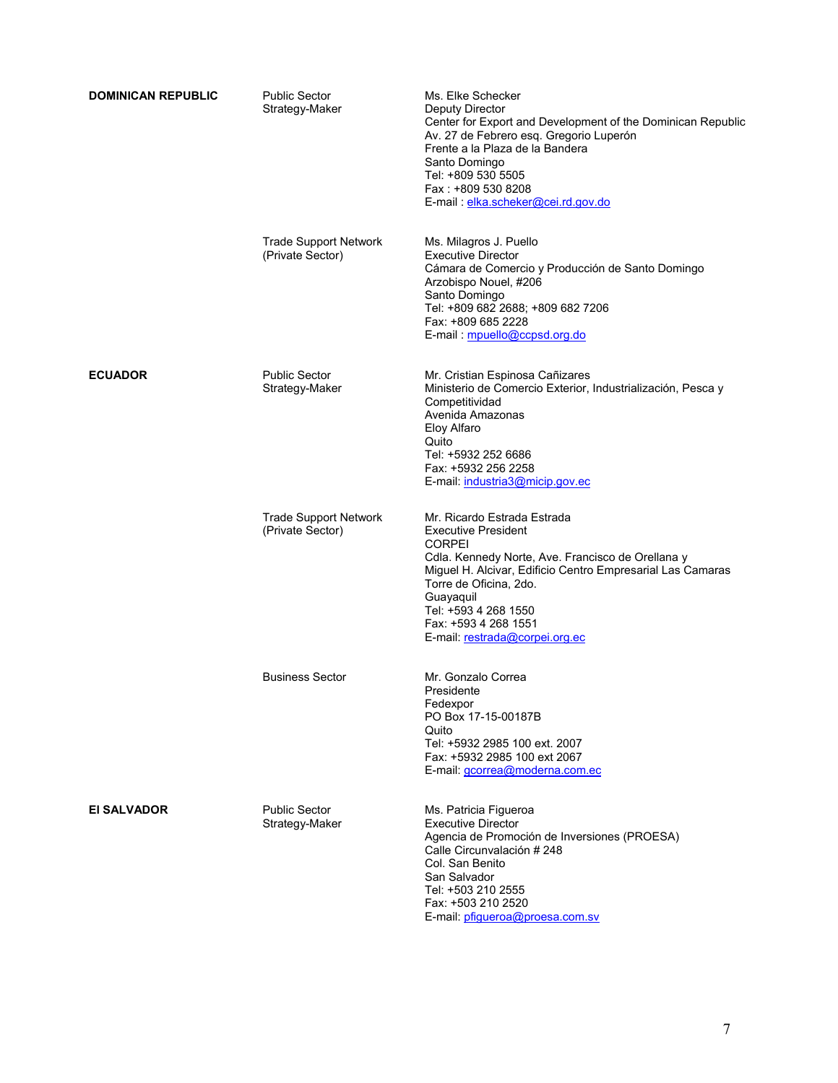| <b>DOMINICAN REPUBLIC</b> | <b>Public Sector</b><br>Strategy-Maker           | Ms. Elke Schecker<br><b>Deputy Director</b><br>Center for Export and Development of the Dominican Republic<br>Av. 27 de Febrero esq. Gregorio Luperón<br>Frente a la Plaza de la Bandera<br>Santo Domingo<br>Tel: +809 530 5505<br>Fax: +809 530 8208<br>E-mail: elka.scheker@cei.rd.gov.do                            |
|---------------------------|--------------------------------------------------|------------------------------------------------------------------------------------------------------------------------------------------------------------------------------------------------------------------------------------------------------------------------------------------------------------------------|
|                           | <b>Trade Support Network</b><br>(Private Sector) | Ms. Milagros J. Puello<br><b>Executive Director</b><br>Cámara de Comercio y Producción de Santo Domingo<br>Arzobispo Nouel, #206<br>Santo Domingo<br>Tel: +809 682 2688; +809 682 7206<br>Fax: +809 685 2228<br>E-mail: mpuello@ccpsd.org.do                                                                           |
| <b>ECUADOR</b>            | <b>Public Sector</b><br>Strategy-Maker           | Mr. Cristian Espinosa Cañizares<br>Ministerio de Comercio Exterior, Industrialización, Pesca y<br>Competitividad<br>Avenida Amazonas<br>Eloy Alfaro<br>Quito<br>Tel: +5932 252 6686<br>Fax: +5932 256 2258<br>E-mail industria3@micip.gov.ec                                                                           |
|                           | <b>Trade Support Network</b><br>(Private Sector) | Mr. Ricardo Estrada Estrada<br><b>Executive President</b><br><b>CORPEI</b><br>Cdla. Kennedy Norte, Ave. Francisco de Orellana y<br>Miguel H. Alcivar, Edificio Centro Empresarial Las Camaras<br>Torre de Oficina, 2do.<br>Guayaquil<br>Tel: +593 4 268 1550<br>Fax: +593 4 268 1551<br>E-mail: restrada@corpei.org.ec |
|                           | <b>Business Sector</b>                           | Mr. Gonzalo Correa<br>Presidente<br>Fedexpor<br>PO Box 17-15-00187B<br>Quito<br>Tel: +5932 2985 100 ext. 2007<br>Fax: +5932 2985 100 ext 2067<br>E-mail: gcorrea@moderna.com.ec                                                                                                                                        |
| EI SALVADOR               | <b>Public Sector</b><br>Strategy-Maker           | Ms. Patricia Figueroa<br><b>Executive Director</b><br>Agencia de Promoción de Inversiones (PROESA)<br>Calle Circunvalación # 248<br>Col. San Benito<br>San Salvador<br>Tel: +503 210 2555<br>Fax: +503 210 2520<br>E-mail: pfigueroa@proesa.com.sv                                                                     |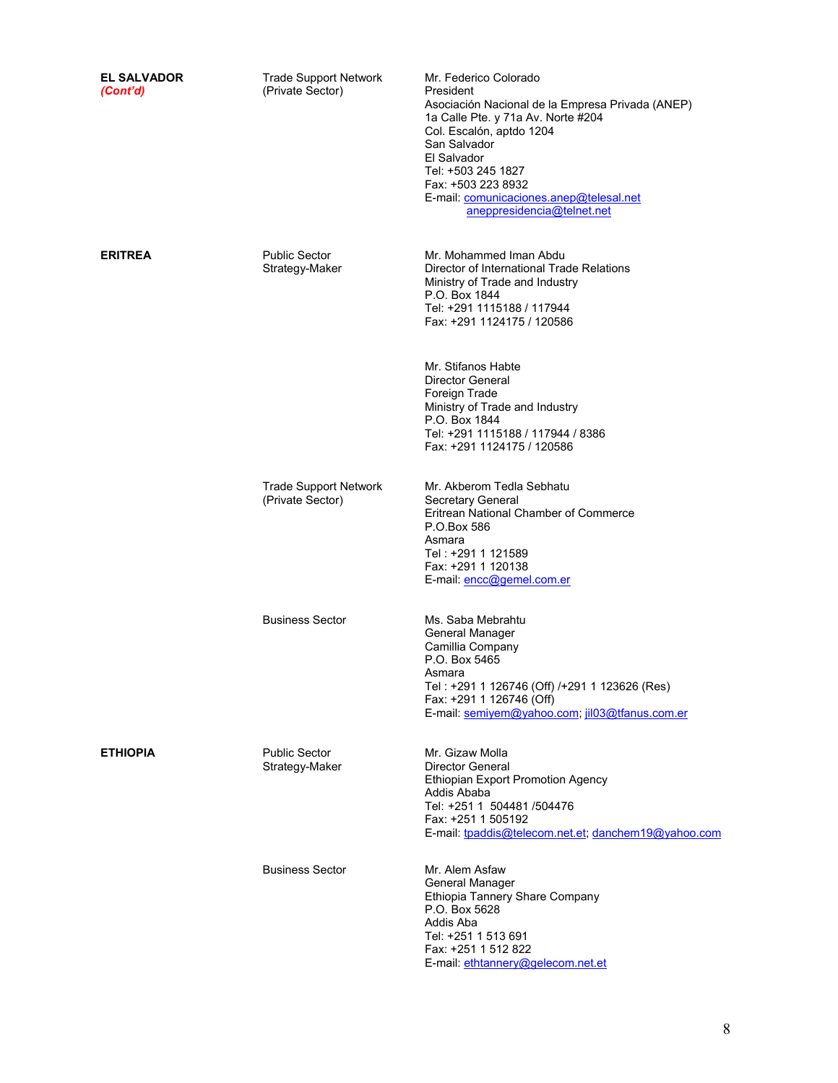| <b>EL SALVADOR</b><br>(Cont'd) | <b>Trade Support Network</b><br>(Private Sector) | Mr. Federico Colorado<br>President<br>Asociación Nacional de la Empresa Privada (ANEP)<br>1a Calle Pte. y 71a Av. Norte #204<br>Col. Escalón, aptdo 1204<br>San Salvador<br>El Salvador<br>Tel: +503 245 1827<br>Fax: +503 223 8932<br>E-mail. comunicaciones.anep@telesal.net<br>aneppresidencia@telnet.net |
|--------------------------------|--------------------------------------------------|--------------------------------------------------------------------------------------------------------------------------------------------------------------------------------------------------------------------------------------------------------------------------------------------------------------|
| <b>ERITREA</b>                 | <b>Public Sector</b><br>Strategy-Maker           | Mr. Mohammed Iman Abdu<br>Director of International Trade Relations<br>Ministry of Trade and Industry<br>P.O. Box 1844<br>Tel: +291 1115188 / 117944<br>Fax: +291 1124175 / 120586                                                                                                                           |
|                                |                                                  | Mr. Stifanos Habte<br>Director General<br>Foreign Trade<br>Ministry of Trade and Industry<br>P.O. Box 1844<br>Tel: +291 1115188 / 117944 / 8386<br>Fax: +291 1124175 / 120586                                                                                                                                |
|                                | <b>Trade Support Network</b><br>(Private Sector) | Mr. Akberom Tedla Sebhatu<br>Secretary General<br>Eritrean National Chamber of Commerce<br>P.O.Box 586<br>Asmara<br>Tel : +291 1 121589<br>Fax: +291 1 120138<br>E-mail: encc@gemel.com.er                                                                                                                   |
|                                | <b>Business Sector</b>                           | Ms. Saba Mebrahtu<br>General Manager<br>Camillia Company<br>P.O. Box 5465<br>Asmara<br>Tel: +291 1 126746 (Off) /+291 1 123626 (Res)<br>Fax: +291 1 126746 (Off)<br>E-mail: semiyem@yahoo.com; jil03@tfanus.com.er                                                                                           |
| <b>ETHIOPIA</b>                | <b>Public Sector</b><br>Strategy-Maker           | Mr. Gizaw Molla<br><b>Director General</b><br><b>Ethiopian Export Promotion Agency</b><br>Addis Ababa<br>Tel: +251 1 504481 /504476<br>Fax: +251 1 505192<br>E-mail: tpaddis@telecom.net.et, danchem19@yahoo.com                                                                                             |
|                                | <b>Business Sector</b>                           | Mr. Alem Asfaw<br>General Manager<br>Ethiopia Tannery Share Company<br>P.O. Box 5628<br>Addis Aba<br>Tel: +251 1 513 691<br>Fax: +251 1 512 822<br>E-mail: ethtannery@gelecom.net.et                                                                                                                         |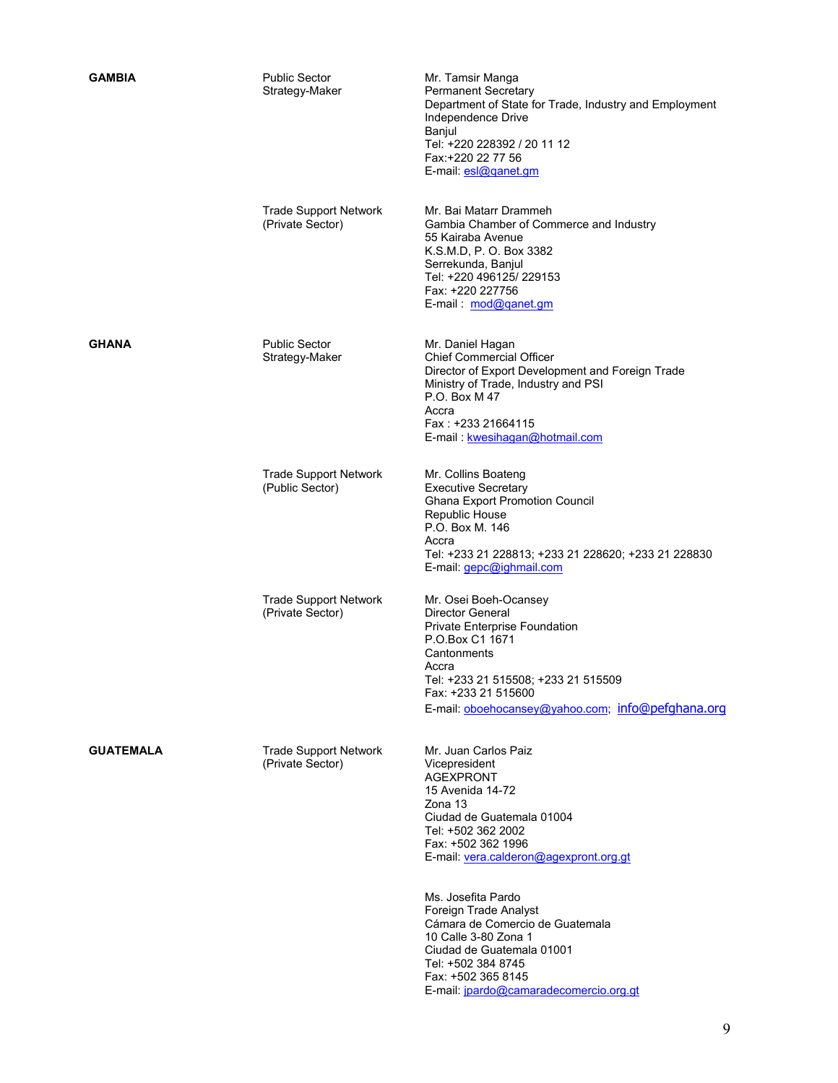| <b>GAMBIA</b>    | <b>Public Sector</b><br>Strategy-Maker           | Mr. Tamsir Manga<br><b>Permanent Secretary</b><br>Department of State for Trade, Industry and Employment<br>Independence Drive<br>Banjul<br>Tel: +220 228392 / 20 11 12<br>Fax: +220 22 77 56<br>E-mail: esl@ganet.gm                                                                                                                                                                                                                    |
|------------------|--------------------------------------------------|------------------------------------------------------------------------------------------------------------------------------------------------------------------------------------------------------------------------------------------------------------------------------------------------------------------------------------------------------------------------------------------------------------------------------------------|
|                  | <b>Trade Support Network</b><br>(Private Sector) | Mr. Bai Matarr Drammeh<br>Gambia Chamber of Commerce and Industry<br>55 Kairaba Avenue<br>K.S.M.D, P. O. Box 3382<br>Serrekunda, Banjul<br>Tel: +220 496125/ 229153<br>Fax: +220 227756<br>E-mail: mod@ganet.gm                                                                                                                                                                                                                          |
| <b>GHANA</b>     | <b>Public Sector</b><br>Strategy-Maker           | Mr. Daniel Hagan<br><b>Chief Commercial Officer</b><br>Director of Export Development and Foreign Trade<br>Ministry of Trade, Industry and PSI<br>P.O. Box M 47<br>Accra<br>Fax: +233 21664115<br>E-mail: kwesihagan@hotmail.com                                                                                                                                                                                                         |
|                  | <b>Trade Support Network</b><br>(Public Sector)  | Mr. Collins Boateng<br><b>Executive Secretary</b><br><b>Ghana Export Promotion Council</b><br>Republic House<br>P.O. Box M. 146<br>Accra<br>Tel: +233 21 228813; +233 21 228620; +233 21 228830<br>E-mail: gepc@ighmail.com                                                                                                                                                                                                              |
|                  | <b>Trade Support Network</b><br>(Private Sector) | Mr. Osei Boeh-Ocansey<br>Director General<br>Private Enterprise Foundation<br>P.O.Box C1 1671<br>Cantonments<br>Accra<br>Tel: +233 21 515508; +233 21 515509<br>Fax: +233 21 515600<br>E-mail: oboehocansey@yahoo.com, info@pefghana.org                                                                                                                                                                                                 |
| <b>GUATEMALA</b> | <b>Trade Support Network</b><br>(Private Sector) | Mr. Juan Carlos Paiz<br>Vicepresident<br><b>AGEXPRONT</b><br>15 Avenida 14-72<br>Zona 13<br>Ciudad de Guatemala 01004<br>Tel: +502 362 2002<br>Fax: +502 362 1996<br>E-mail. vera.calderon@agexpront.org.gt<br>Ms. Josefita Pardo<br>Foreign Trade Analyst<br>Cámara de Comercio de Guatemala<br>10 Calle 3-80 Zona 1<br>Ciudad de Guatemala 01001<br>Tel: +502 384 8745<br>Fax: +502 365 8145<br>E-mail: jpardo@camaradecomercio.org.gt |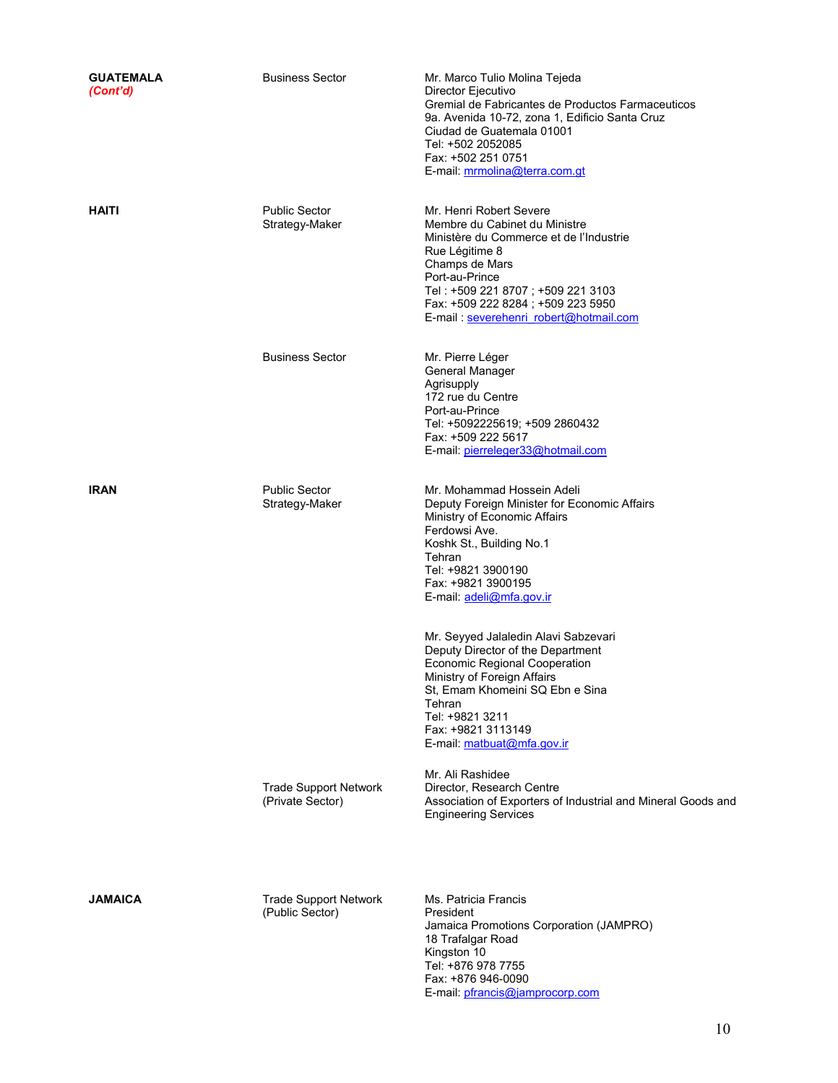| <b>GUATEMALA</b><br>(Cont'd) | <b>Business Sector</b>                           | Mr. Marco Tulio Molina Tejeda<br>Director Ejecutivo<br>Gremial de Fabricantes de Productos Farmaceuticos<br>9a. Avenida 10-72, zona 1, Edificio Santa Cruz<br>Ciudad de Guatemala 01001<br>Tel: +502 2052085<br>Fax: +502 251 0751<br>E-mail: mrmolina@terra.com.gt            |
|------------------------------|--------------------------------------------------|--------------------------------------------------------------------------------------------------------------------------------------------------------------------------------------------------------------------------------------------------------------------------------|
| <b>HAITI</b>                 | <b>Public Sector</b><br>Strategy-Maker           | Mr. Henri Robert Severe<br>Membre du Cabinet du Ministre<br>Ministère du Commerce et de l'Industrie<br>Rue Légitime 8<br>Champs de Mars<br>Port-au-Prince<br>Tel: +509 221 8707; +509 221 3103<br>Fax: +509 222 8284; +509 223 5950<br>E-mail : severehenri robert@hotmail.com |
|                              | <b>Business Sector</b>                           | Mr. Pierre Léger<br>General Manager<br>Agrisupply<br>172 rue du Centre<br>Port-au-Prince<br>Tel: +5092225619; +509 2860432<br>Fax: +509 222 5617<br>E-mail: pierreleger33@hotmail.com                                                                                          |
| <b>IRAN</b>                  | <b>Public Sector</b><br>Strategy-Maker           | Mr. Mohammad Hossein Adeli<br>Deputy Foreign Minister for Economic Affairs<br>Ministry of Economic Affairs<br>Ferdowsi Ave.<br>Koshk St., Building No.1<br>Tehran<br>Tel: +9821 3900190<br>Fax: +9821 3900195<br>E-mail: adeli@mfa.gov.ir                                      |
|                              |                                                  | Mr. Seyyed Jalaledin Alavi Sabzevari<br>Deputy Director of the Department<br><b>Economic Regional Cooperation</b><br>Ministry of Foreign Affairs<br>St. Emam Khomeini SQ Ebn e Sina<br>Tehran<br>Tel: +9821 3211<br>Fax: +9821 3113149<br>E-mail: matbuat@mfa.gov.ir           |
|                              | <b>Trade Support Network</b><br>(Private Sector) | Mr. Ali Rashidee<br>Director, Research Centre<br>Association of Exporters of Industrial and Mineral Goods and<br><b>Engineering Services</b>                                                                                                                                   |
| JAMAICA                      | <b>Trade Support Network</b><br>(Public Sector)  | Ms. Patricia Francis<br>President<br>Jamaica Promotions Corporation (JAMPRO)<br>18 Trafalgar Road<br>Kingston 10<br>Tel: +876 978 7755<br>Fax: +876 946-0090<br>E-mail: pfrancis@jamprocorp.com                                                                                |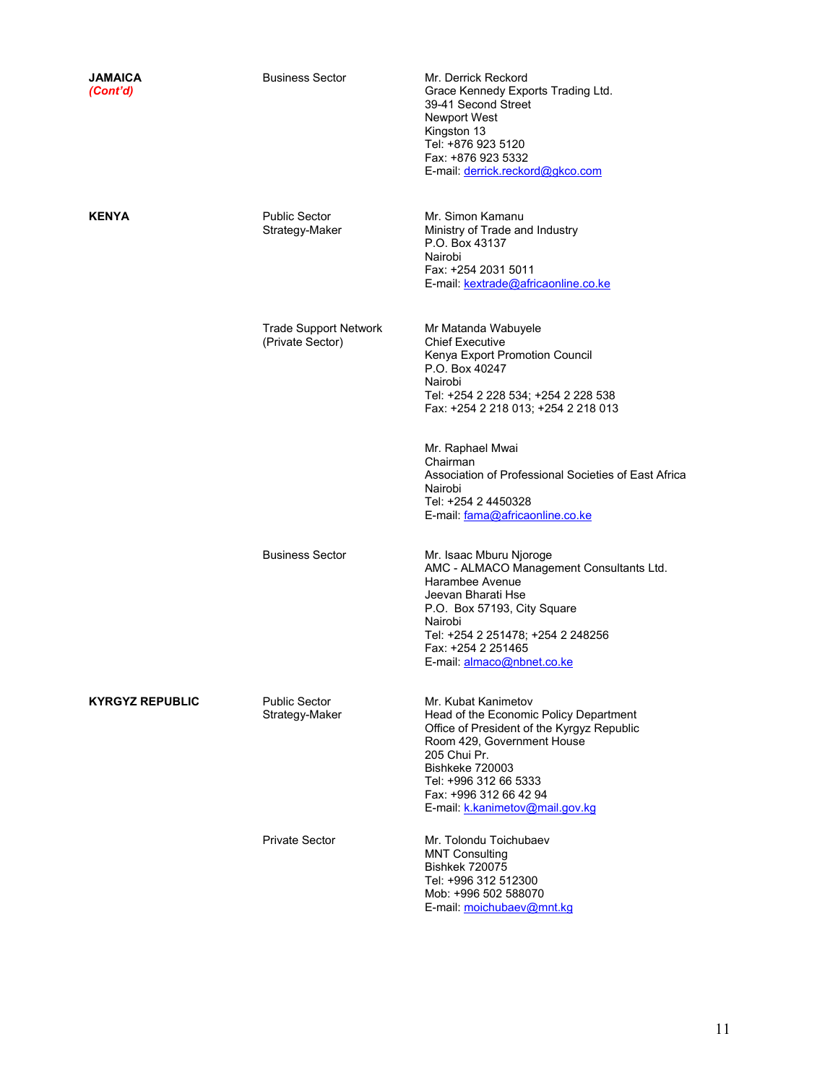| JAMAICA<br>(Cont'd)    | <b>Business Sector</b>                           | Mr. Derrick Reckord<br>Grace Kennedy Exports Trading Ltd.<br>39-41 Second Street<br><b>Newport West</b><br>Kingston 13<br>Tel: +876 923 5120<br>Fax: +876 923 5332<br>E-mail: derrick.reckord@gkco.com                                                            |
|------------------------|--------------------------------------------------|-------------------------------------------------------------------------------------------------------------------------------------------------------------------------------------------------------------------------------------------------------------------|
| <b>KENYA</b>           | <b>Public Sector</b><br>Strategy-Maker           | Mr. Simon Kamanu<br>Ministry of Trade and Industry<br>P.O. Box 43137<br>Nairobi<br>Fax: +254 2031 5011<br>E-mail: kextrade@africaonline.co.ke                                                                                                                     |
|                        | <b>Trade Support Network</b><br>(Private Sector) | Mr Matanda Wabuyele<br><b>Chief Executive</b><br>Kenya Export Promotion Council<br>P.O. Box 40247<br>Nairobi<br>Tel: +254 2 228 534; +254 2 228 538<br>Fax: +254 2 218 013; +254 2 218 013                                                                        |
|                        |                                                  | Mr. Raphael Mwai<br>Chairman<br>Association of Professional Societies of East Africa<br>Nairobi<br>Tel: +254 2 4450328<br>E-mail: fama@africaonline.co.ke                                                                                                         |
|                        | <b>Business Sector</b>                           | Mr. Isaac Mburu Njoroge<br>AMC - ALMACO Management Consultants Ltd.<br>Harambee Avenue<br>Jeevan Bharati Hse<br>P.O. Box 57193, City Square<br>Nairobi<br>Tel: +254 2 251478; +254 2 248256<br>Fax: +254 2 251465<br>E-mail: almaco@nbnet.co.ke                   |
| <b>KYRGYZ REPUBLIC</b> | <b>Public Sector</b><br>Strategy-Maker           | Mr. Kubat Kanimetov<br>Head of the Economic Policy Department<br>Office of President of the Kyrgyz Republic<br>Room 429, Government House<br>205 Chui Pr.<br>Bishkeke 720003<br>Tel: +996 312 66 5333<br>Fax: +996 312 66 42 94<br>E-mail k.kanimetov@mail.gov.kg |
|                        | <b>Private Sector</b>                            | Mr. Tolondu Toichubaev<br><b>MNT Consulting</b><br><b>Bishkek 720075</b><br>Tel: +996 312 512300<br>Mob: +996 502 588070<br>E-mail: moichubaev@mnt.kg                                                                                                             |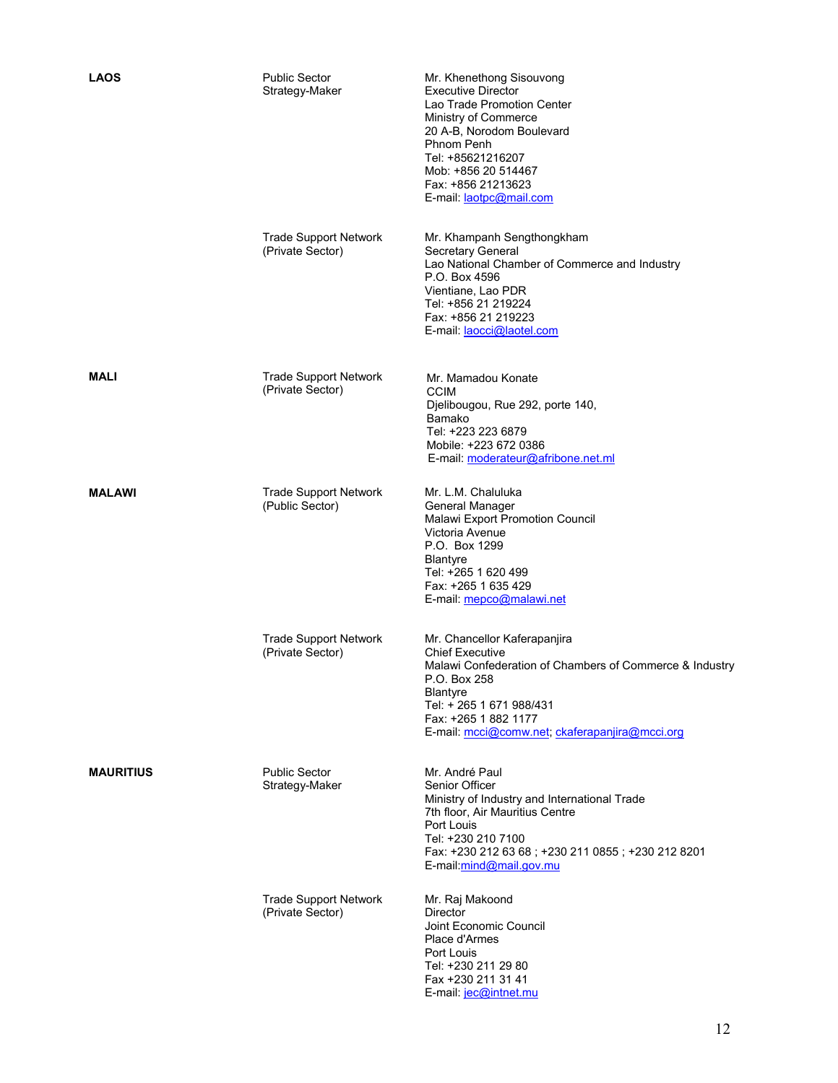| <b>LAOS</b>      | <b>Public Sector</b><br>Strategy-Maker           | Mr. Khenethong Sisouvong<br><b>Executive Director</b><br>Lao Trade Promotion Center<br>Ministry of Commerce<br>20 A-B, Norodom Boulevard<br>Phnom Penh<br>Tel: +85621216207<br>Mob: +856 20 514467<br>Fax: +856 21213623<br>E-mail: laotpc@mail.com        |
|------------------|--------------------------------------------------|------------------------------------------------------------------------------------------------------------------------------------------------------------------------------------------------------------------------------------------------------------|
|                  | <b>Trade Support Network</b><br>(Private Sector) | Mr. Khampanh Sengthongkham<br>Secretary General<br>Lao National Chamber of Commerce and Industry<br>P.O. Box 4596<br>Vientiane, Lao PDR<br>Tel: +856 21 219224<br>Fax: +856 21 219223<br>E-mail: laocci@laotel.com                                         |
| <b>MALI</b>      | <b>Trade Support Network</b><br>(Private Sector) | Mr. Mamadou Konate<br><b>CCIM</b><br>Djelibougou, Rue 292, porte 140,<br>Bamako<br>Tel: +223 223 6879<br>Mobile: +223 672 0386<br>E-mail: moderateur@afribone.net.ml                                                                                       |
| <b>MALAWI</b>    | <b>Trade Support Network</b><br>(Public Sector)  | Mr. L.M. Chaluluka<br>General Manager<br><b>Malawi Export Promotion Council</b><br>Victoria Avenue<br>P.O. Box 1299<br><b>Blantyre</b><br>Tel: +265 1 620 499<br>Fax: +265 1 635 429<br>E-mail: mepco@malawi.net                                           |
|                  | <b>Trade Support Network</b><br>(Private Sector) | Mr. Chancellor Kaferapanjira<br><b>Chief Executive</b><br>Malawi Confederation of Chambers of Commerce & Industry<br>P.O. Box 258<br><b>Blantyre</b><br>Tel: + 265 1 671 988/431<br>Fax: +265 1 882 1177<br>E-mail: mcci@comw.net; ckaferapanjira@mcci.org |
| <b>MAURITIUS</b> | <b>Public Sector</b><br>Strategy-Maker           | Mr. André Paul<br>Senior Officer<br>Ministry of Industry and International Trade<br>7th floor, Air Mauritius Centre<br>Port Louis<br>Tel: +230 210 7100<br>Fax: +230 212 63 68; +230 211 0855; +230 212 8201<br>E-mail:mind@mail.gov.mu                    |
|                  | <b>Trade Support Network</b><br>(Private Sector) | Mr. Raj Makoond<br>Director<br>Joint Economic Council<br>Place d'Armes<br>Port Louis<br>Tel: +230 211 29 80<br>Fax +230 211 31 41<br>E-mail: jec@intnet.mu                                                                                                 |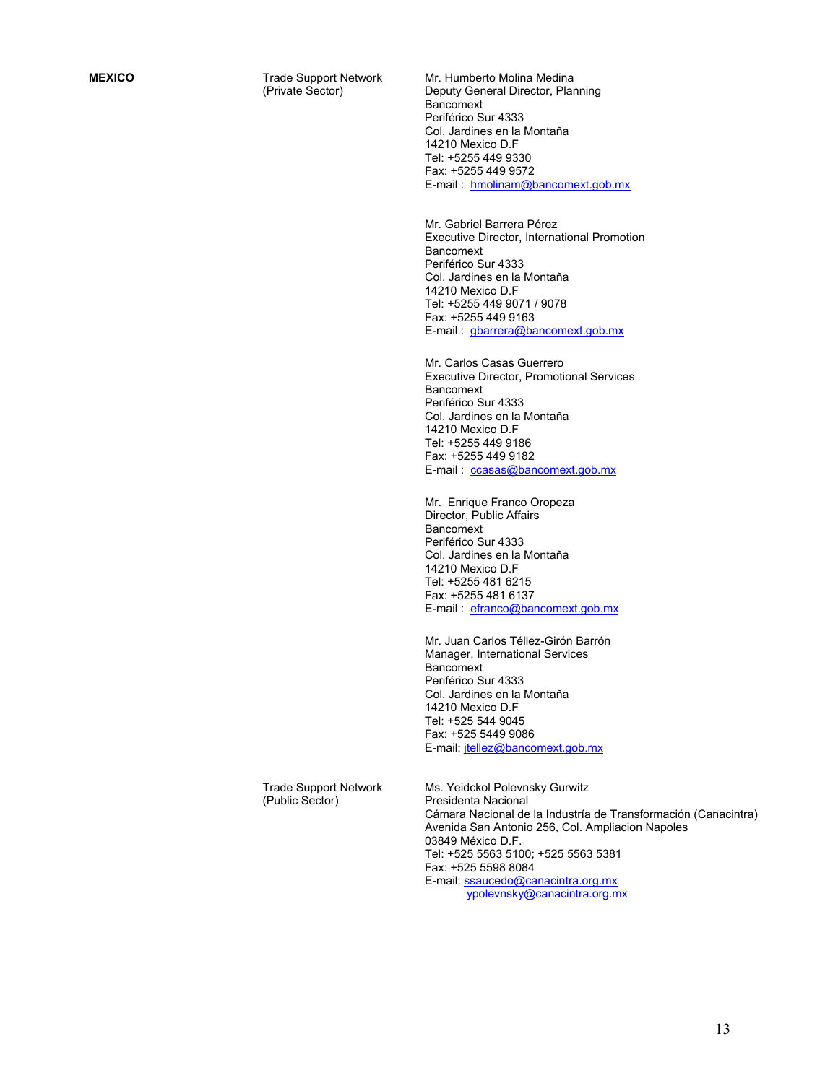**MEXICO** Trade Support Network (Private Sector)

Mr. Humberto Molina Medina Deputy General Director, Planning **Bancomext** Periférico Sur 4333 Col. Jardines en la Montaña 14210 Mexico D.F Tel: +5255 449 9330 Fax: +5255 449 9572 E-mail : hmolinam@bancomext.gob.mx

Mr. Gabriel Barrera Pérez Executive Director, International Promotion Bancomext Periférico Sur 4333 Col. Jardines en la Montaña 14210 Mexico D.F Tel: +5255 449 9071 / 9078 Fax: +5255 449 9163 E-mail : gbarrera@bancomext.gob.mx

Mr. Carlos Casas Guerrero Executive Director, Promotional Services Bancomext Periférico Sur 4333 Col. Jardines en la Montaña 14210 Mexico D.F Tel: +5255 449 9186 Fax: +5255 449 9182 E-mail : ccasas@bancomext.gob.mx

Mr. Enrique Franco Oropeza Director, Public Affairs Bancomext Periférico Sur 4333 Col. Jardines en la Montaña 14210 Mexico D.F Tel: +5255 481 6215 Fax: +5255 481 6137 E-mail : efranco@bancomext.gob.mx

Mr. Juan Carlos Téllez-Girón Barrón Manager, International Services **Bancomext** Periférico Sur 4333 Col. Jardines en la Montaña 14210 Mexico D.F Tel: +525 544 9045 Fax: +525 5449 9086 E-mail: jtellez@bancomext.gob.mx

Trade Support Network (Public Sector)

Ms. Yeidckol Polevnsky Gurwitz Presidenta Nacional Cámara Nacional de la Industría de Transformación (Canacintra) Avenida San Antonio 256, Col. Ampliacion Napoles 03849 México D.F. Tel: +525 5563 5100; +525 5563 5381 Fax: +525 5598 8084 E-mail: ssaucedo@canacintra.org.mx ypolevnsky@canacintra.org.mx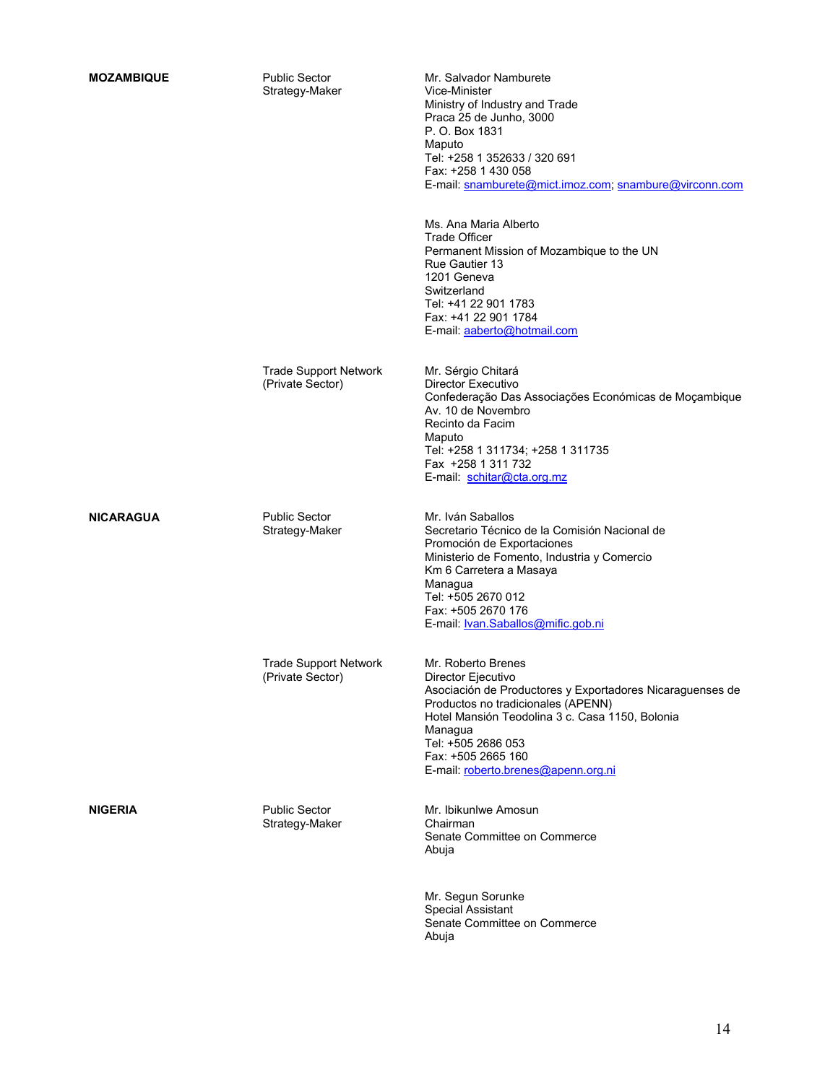| <b>MOZAMBIQUE</b> | <b>Public Sector</b><br>Strategy-Maker           | Mr. Salvador Namburete<br>Vice-Minister<br>Ministry of Industry and Trade<br>Praca 25 de Junho, 3000<br>P. O. Box 1831<br>Maputo<br>Tel: +258 1 352633 / 320 691<br>Fax: +258 1 430 058<br>E-mail: snamburete@mict.imoz.com, snambure@virconn.com                                            |
|-------------------|--------------------------------------------------|----------------------------------------------------------------------------------------------------------------------------------------------------------------------------------------------------------------------------------------------------------------------------------------------|
|                   |                                                  | Ms. Ana Maria Alberto<br><b>Trade Officer</b><br>Permanent Mission of Mozambique to the UN<br>Rue Gautier 13<br>1201 Geneva<br>Switzerland<br>Tel: +41 22 901 1783<br>Fax: +41 22 901 1784<br>E-mail: aaberto@hotmail.com                                                                    |
|                   | <b>Trade Support Network</b><br>(Private Sector) | Mr. Sérgio Chitará<br>Director Executivo<br>Confederação Das Associações Económicas de Moçambique<br>Av. 10 de Novembro<br>Recinto da Facim<br>Maputo<br>Tel: +258 1 311734; +258 1 311735<br>Fax +258 1 311 732<br>E-mail: schitar@cta.org.mz                                               |
| <b>NICARAGUA</b>  | <b>Public Sector</b><br>Strategy-Maker           | Mr. Iván Saballos<br>Secretario Técnico de la Comisión Nacional de<br>Promoción de Exportaciones<br>Ministerio de Fomento, Industria y Comercio<br>Km 6 Carretera a Masaya<br>Managua<br>Tel: +505 2670 012<br>Fax: +505 2670 176<br>E-mail: <b>Ivan.Saballos@mific.gob.ni</b>               |
|                   | <b>Trade Support Network</b><br>(Private Sector) | Mr. Roberto Brenes<br>Director Eiecutivo<br>Asociación de Productores y Exportadores Nicaraguenses de<br>Productos no tradicionales (APENN)<br>Hotel Mansión Teodolina 3 c. Casa 1150, Bolonia<br>Managua<br>Tel: +505 2686 053<br>Fax: +505 2665 160<br>E-mail: roberto.brenes@apenn.org.ni |
| <b>NIGERIA</b>    | <b>Public Sector</b><br>Strategy-Maker           | Mr. Ibikunlwe Amosun<br>Chairman<br>Senate Committee on Commerce<br>Abuja                                                                                                                                                                                                                    |
|                   |                                                  | Mr. Segun Sorunke<br><b>Special Assistant</b><br>Senate Committee on Commerce<br>Abuja                                                                                                                                                                                                       |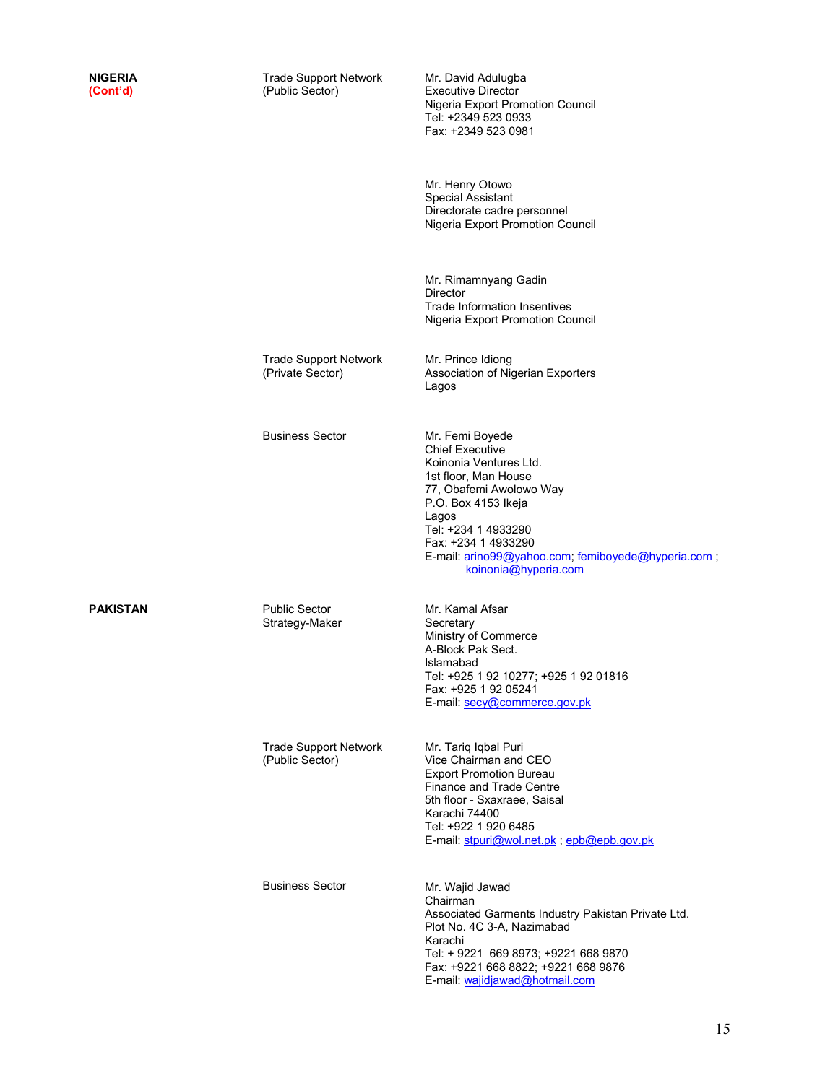| NIGERIA<br>(Cont'd) | <b>Trade Support Network</b><br>(Public Sector)  | Mr. David Adulugba<br><b>Executive Director</b><br>Nigeria Export Promotion Council<br>Tel: +2349 523 0933<br>Fax: +2349 523 0981                                                                                                                                                  |
|---------------------|--------------------------------------------------|------------------------------------------------------------------------------------------------------------------------------------------------------------------------------------------------------------------------------------------------------------------------------------|
|                     |                                                  | Mr. Henry Otowo<br><b>Special Assistant</b><br>Directorate cadre personnel<br>Nigeria Export Promotion Council                                                                                                                                                                     |
|                     |                                                  | Mr. Rimamnyang Gadin<br><b>Director</b><br><b>Trade Information Insentives</b><br>Nigeria Export Promotion Council                                                                                                                                                                 |
|                     | <b>Trade Support Network</b><br>(Private Sector) | Mr. Prince Idiong<br>Association of Nigerian Exporters<br>Lagos                                                                                                                                                                                                                    |
|                     | <b>Business Sector</b>                           | Mr. Femi Boyede<br><b>Chief Executive</b><br>Koinonia Ventures Ltd.<br>1st floor, Man House<br>77, Obafemi Awolowo Way<br>P.O. Box 4153 Ikeja<br>Lagos<br>Tel: +234 1 4933290<br>Fax: +234 1 4933290<br>E-mail: arino99@yahoo.com; femiboyede@hyperia.com;<br>koinonia@hyperia.com |
| PAKISTAN            | <b>Public Sector</b><br>Strategy-Maker           | Mr. Kamal Afsar<br>Secretary<br>Ministry of Commerce<br>A-Block Pak Sect.<br>Islamabad<br>Tel: +925 1 92 10277; +925 1 92 01816<br>Fax: +925 1 92 05241<br>E-mail: secy@commerce.gov.pk                                                                                            |
|                     | <b>Trade Support Network</b><br>(Public Sector)  | Mr. Tariq Iqbal Puri<br>Vice Chairman and CEO<br><b>Export Promotion Bureau</b><br>Finance and Trade Centre<br>5th floor - Sxaxraee, Saisal<br>Karachi 74400<br>Tel: +922 1 920 6485<br>E-mail: stpuri@wol.net.pk , epb@epb.gov.pk                                                 |
|                     | <b>Business Sector</b>                           | Mr. Wajid Jawad<br>Chairman<br>Associated Garments Industry Pakistan Private Ltd.<br>Plot No. 4C 3-A, Nazimabad<br>Karachi<br>Tel: + 9221 669 8973; +9221 668 9870<br>Fax: +9221 668 8822; +9221 668 9876<br>E-mail: wajidjawad@hotmail.com                                        |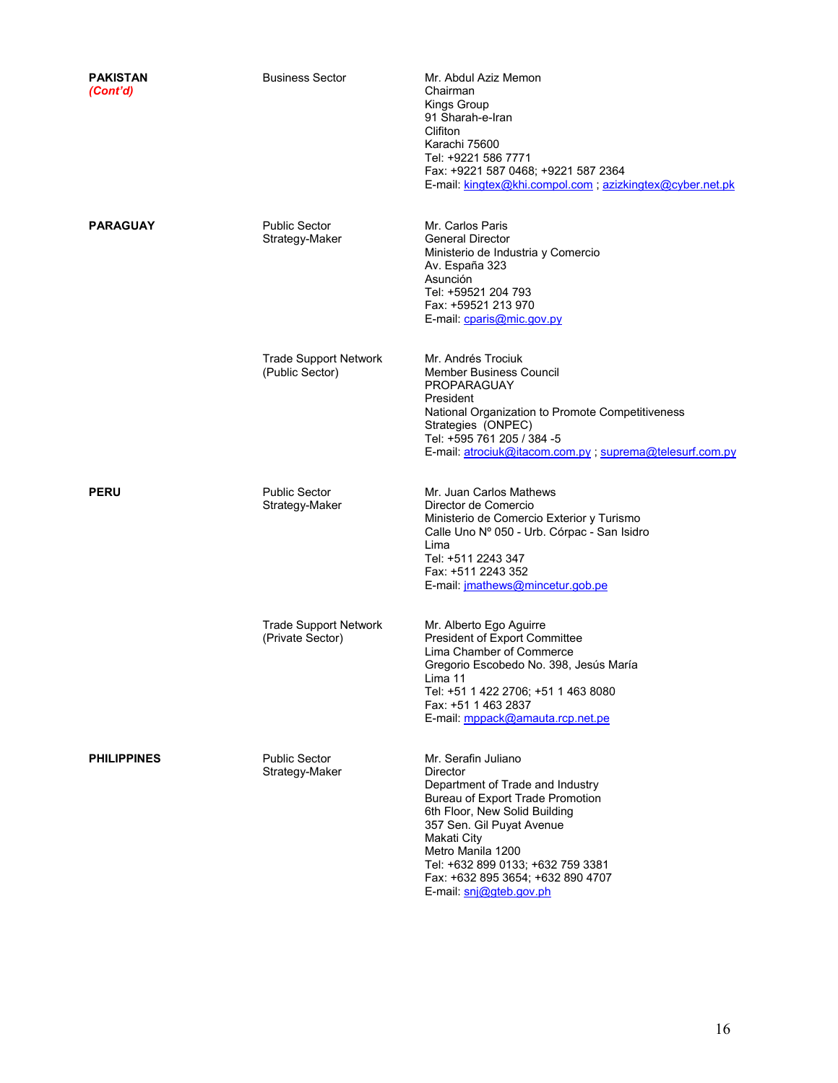| <b>PAKISTAN</b><br>(Cont'd) | <b>Business Sector</b>                           | Mr. Abdul Aziz Memon<br>Chairman<br>Kings Group<br>91 Sharah-e-Iran<br>Clifiton<br>Karachi 75600<br>Tel: +9221 586 7771<br>Fax: +9221 587 0468; +9221 587 2364<br>E-mail: kingtex@khi.compol.com; azizkingtex@cyber.net.pk                                                                                            |
|-----------------------------|--------------------------------------------------|-----------------------------------------------------------------------------------------------------------------------------------------------------------------------------------------------------------------------------------------------------------------------------------------------------------------------|
| <b>PARAGUAY</b>             | <b>Public Sector</b><br>Strategy-Maker           | Mr. Carlos Paris<br><b>General Director</b><br>Ministerio de Industria y Comercio<br>Av. España 323<br>Asunción<br>Tel: +59521 204 793<br>Fax: +59521 213 970<br>E-mail: cparis@mic.gov.py                                                                                                                            |
|                             | <b>Trade Support Network</b><br>(Public Sector)  | Mr. Andrés Trociuk<br><b>Member Business Council</b><br><b>PROPARAGUAY</b><br>President<br>National Organization to Promote Competitiveness<br>Strategies (ONPEC)<br>Tel: +595 761 205 / 384 -5<br>E-mail: atrociuk@itacom.com.py; suprema@telesurf.com.py                                                            |
| <b>PERU</b>                 | <b>Public Sector</b><br>Strategy-Maker           | Mr. Juan Carlos Mathews<br>Director de Comercio<br>Ministerio de Comercio Exterior y Turismo<br>Calle Uno Nº 050 - Urb. Córpac - San Isidro<br>Lima<br>Tel: +511 2243 347<br>Fax: +511 2243 352<br>E-mail: jmathews@mincetur.gob.pe                                                                                   |
|                             | <b>Trade Support Network</b><br>(Private Sector) | Mr. Alberto Ego Aguirre<br>President of Export Committee<br>Lima Chamber of Commerce<br>Gregorio Escobedo No. 398, Jesús María<br>Lima 11<br>Tel: +51 1 422 2706; +51 1 463 8080<br>Fax: +51 1 463 2837<br>E-mail: mppack@amauta.rcp.net.pe                                                                           |
| <b>PHILIPPINES</b>          | <b>Public Sector</b><br>Strategy-Maker           | Mr. Serafin Juliano<br><b>Director</b><br>Department of Trade and Industry<br>Bureau of Export Trade Promotion<br>6th Floor, New Solid Building<br>357 Sen. Gil Puyat Avenue<br>Makati City<br>Metro Manila 1200<br>Tel: +632 899 0133; +632 759 3381<br>Fax: +632 895 3654; +632 890 4707<br>E-mail: snj@gteb.gov.ph |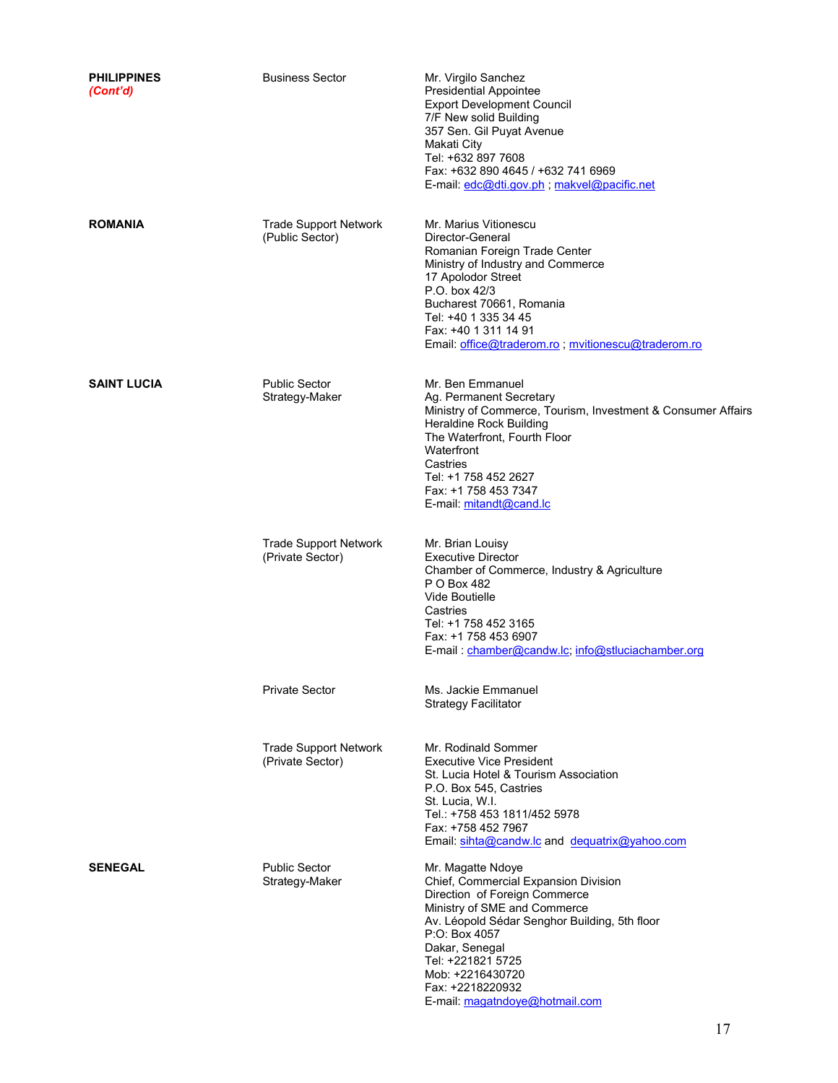| <b>PHILIPPINES</b><br>(Cont'd) | <b>Business Sector</b>                           | Mr. Virgilo Sanchez<br><b>Presidential Appointee</b><br><b>Export Development Council</b><br>7/F New solid Building<br>357 Sen. Gil Puyat Avenue<br>Makati City<br>Tel: +632 897 7608<br>Fax: +632 890 4645 / +632 741 6969<br>E-mail: edc@dti.gov.ph; makvel@pacific.net                                     |
|--------------------------------|--------------------------------------------------|---------------------------------------------------------------------------------------------------------------------------------------------------------------------------------------------------------------------------------------------------------------------------------------------------------------|
| <b>ROMANIA</b>                 | <b>Trade Support Network</b><br>(Public Sector)  | Mr. Marius Vitionescu<br>Director-General<br>Romanian Foreign Trade Center<br>Ministry of Industry and Commerce<br>17 Apolodor Street<br>P.O. box 42/3<br>Bucharest 70661, Romania<br>Tel: +40 1 335 34 45<br>Fax: +40 1 311 14 91<br>Email: office@traderom.ro ; mvitionescu@traderom.ro                     |
| <b>SAINT LUCIA</b>             | <b>Public Sector</b><br>Strategy-Maker           | Mr. Ben Emmanuel<br>Ag. Permanent Secretary<br>Ministry of Commerce, Tourism, Investment & Consumer Affairs<br><b>Heraldine Rock Building</b><br>The Waterfront, Fourth Floor<br>Waterfront<br>Castries<br>Tel: +1 758 452 2627<br>Fax: +1 758 453 7347<br>E-mail: mitandt@cand.lc                            |
|                                | <b>Trade Support Network</b><br>(Private Sector) | Mr. Brian Louisy<br><b>Executive Director</b><br>Chamber of Commerce, Industry & Agriculture<br>P O Box 482<br>Vide Boutielle<br>Castries<br>Tel: +1 758 452 3165<br>Fax: +1 758 453 6907<br>E-mail: chamber@candw.lc; info@stluciachamber.org                                                                |
|                                | <b>Private Sector</b>                            | Ms. Jackie Emmanuel<br><b>Strategy Facilitator</b>                                                                                                                                                                                                                                                            |
|                                | <b>Trade Support Network</b><br>(Private Sector) | Mr. Rodinald Sommer<br><b>Executive Vice President</b><br>St. Lucia Hotel & Tourism Association<br>P.O. Box 545, Castries<br>St. Lucia, W.I.<br>Tel.: +758 453 1811/452 5978<br>Fax: +758 452 7967<br>Email: sihta@candw.lc and dequatrix@yahoo.com                                                           |
| <b>SENEGAL</b>                 | <b>Public Sector</b><br>Strategy-Maker           | Mr. Magatte Ndoye<br>Chief, Commercial Expansion Division<br>Direction of Foreign Commerce<br>Ministry of SME and Commerce<br>Av. Léopold Sédar Senghor Building, 5th floor<br>P:O: Box 4057<br>Dakar, Senegal<br>Tel: +221821 5725<br>Mob: +2216430720<br>Fax: +2218220932<br>E-mail: magatndoye@hotmail.com |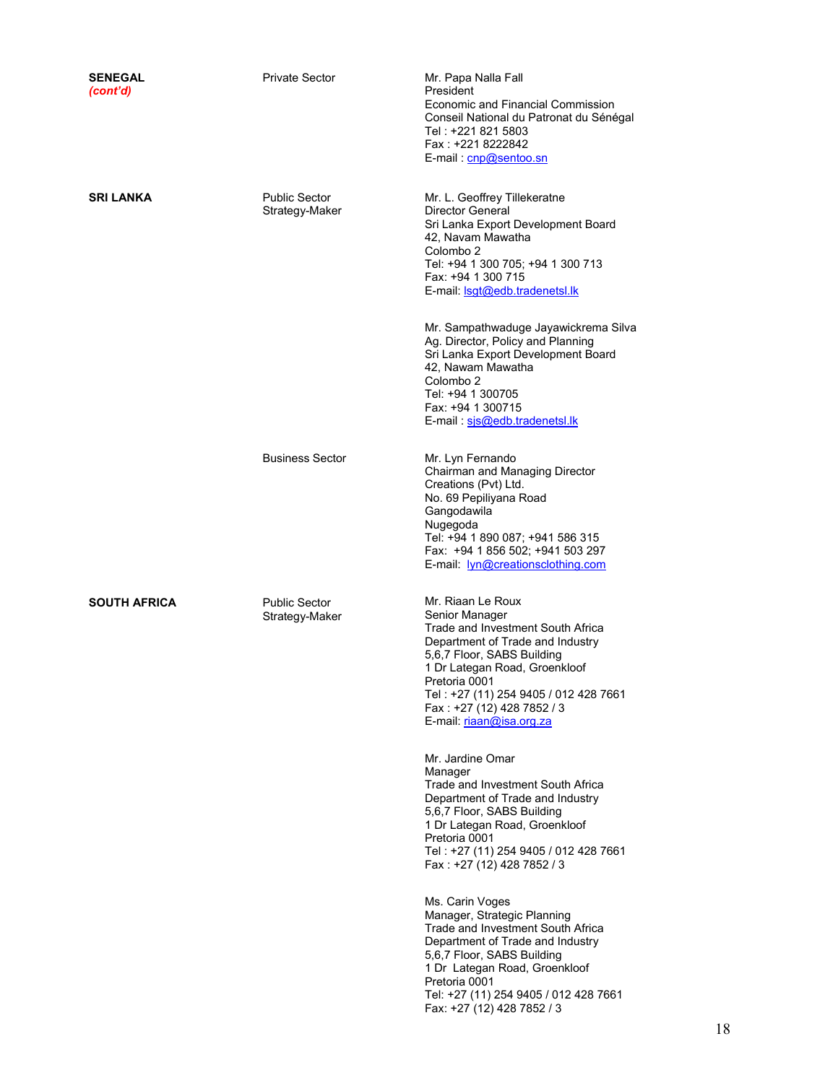| <b>SENEGAL</b><br>(cont'd) | <b>Private Sector</b>                  | Mr. Papa Nalla Fall<br>President<br>Economic and Financial Commission<br>Conseil National du Patronat du Sénégal<br>Tel: +221 821 5803<br>Fax: +221 8222842<br>E-mail: cnp@sentoo.sn                                                                                                                                                                                                                                                                                                                                                                           |
|----------------------------|----------------------------------------|----------------------------------------------------------------------------------------------------------------------------------------------------------------------------------------------------------------------------------------------------------------------------------------------------------------------------------------------------------------------------------------------------------------------------------------------------------------------------------------------------------------------------------------------------------------|
| <b>SRI LANKA</b>           | <b>Public Sector</b><br>Strategy-Maker | Mr. L. Geoffrey Tillekeratne<br>Director General<br>Sri Lanka Export Development Board<br>42, Navam Mawatha<br>Colombo 2<br>Tel: +94 1 300 705; +94 1 300 713<br>Fax: +94 1 300 715<br>E-mail: <b>Isgt@edb.tradenetsl.lk</b><br>Mr. Sampathwaduge Jayawickrema Silva<br>Ag. Director, Policy and Planning<br>Sri Lanka Export Development Board<br>42, Nawam Mawatha<br>Colombo <sub>2</sub><br>Tel: +94 1 300705<br>Fax: +94 1 300715<br>E-mail: sis@edb.tradenetsl.lk                                                                                        |
|                            | <b>Business Sector</b>                 | Mr. Lyn Fernando<br>Chairman and Managing Director<br>Creations (Pvt) Ltd.<br>No. 69 Pepiliyana Road<br>Gangodawila<br>Nugegoda<br>Tel: +94 1 890 087; +941 586 315<br>Fax: +94 1 856 502; +941 503 297<br>E-mail: lyn@creationsclothing.com                                                                                                                                                                                                                                                                                                                   |
| <b>SOUTH AFRICA</b>        | <b>Public Sector</b><br>Strategy-Maker | Mr. Riaan Le Roux<br>Senior Manager<br>Trade and Investment South Africa<br>Department of Trade and Industry<br>5,6,7 Floor, SABS Building<br>1 Dr Lategan Road, Groenkloof<br>Pretoria 0001<br>Tel: +27 (11) 254 9405 / 012 428 7661<br>Fax: +27 (12) 428 7852 / 3<br>E-mail: riaan@isa.org.za<br>Mr. Jardine Omar<br>Manager<br>Trade and Investment South Africa<br>Department of Trade and Industry<br>5,6,7 Floor, SABS Building<br>1 Dr Lategan Road, Groenkloof<br>Pretoria 0001<br>Tel: +27 (11) 254 9405 / 012 428 7661<br>Fax: +27 (12) 428 7852 / 3 |
|                            |                                        | Ms. Carin Voges<br>Manager, Strategic Planning<br>Trade and Investment South Africa<br>Department of Trade and Industry<br>5,6,7 Floor, SABS Building<br>1 Dr Lategan Road, Groenkloof<br>Pretoria 0001<br>Tel: +27 (11) 254 9405 / 012 428 7661<br>Fax: +27 (12) 428 7852 / 3                                                                                                                                                                                                                                                                                 |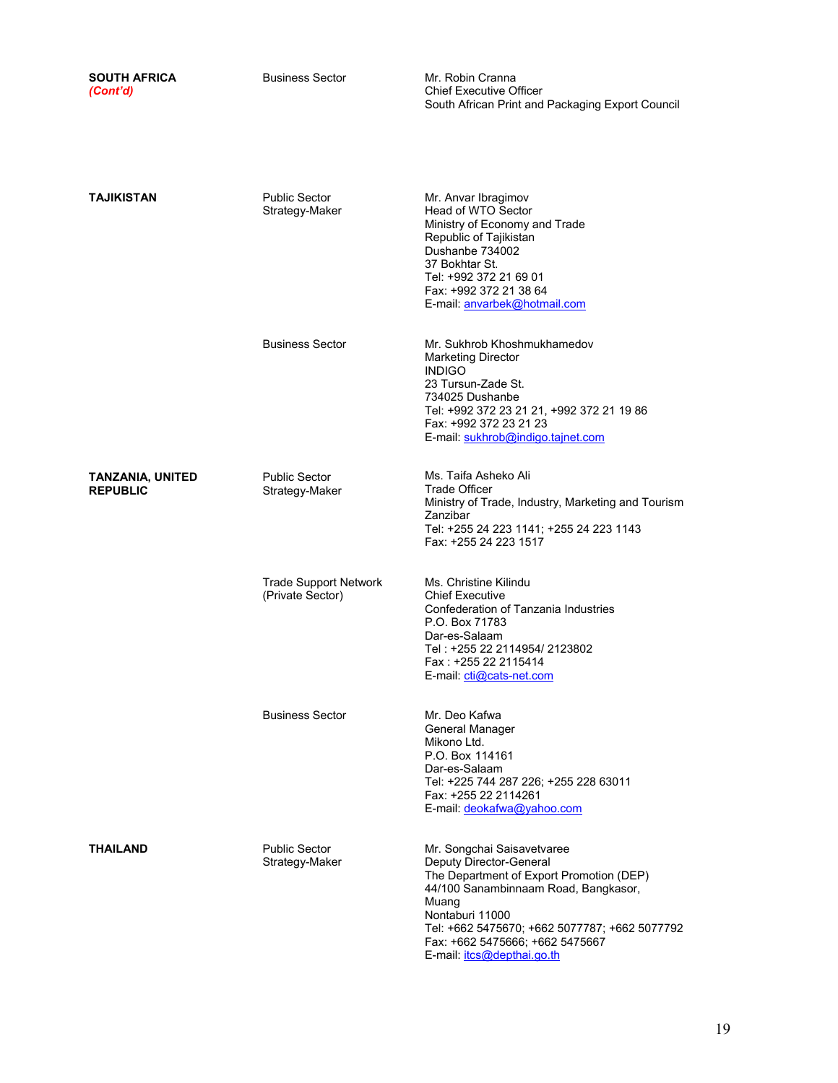| <b>SOUTH AFRICA</b><br>(Cont'd)            | <b>Business Sector</b>                           | Mr. Robin Cranna<br><b>Chief Executive Officer</b><br>South African Print and Packaging Export Council                                                                                                                                                                                  |
|--------------------------------------------|--------------------------------------------------|-----------------------------------------------------------------------------------------------------------------------------------------------------------------------------------------------------------------------------------------------------------------------------------------|
| TAJIKISTAN                                 | <b>Public Sector</b><br>Strategy-Maker           | Mr. Anvar Ibragimov<br>Head of WTO Sector<br>Ministry of Economy and Trade<br>Republic of Tajikistan<br>Dushanbe 734002<br>37 Bokhtar St.<br>Tel: +992 372 21 69 01<br>Fax: +992 372 21 38 64<br>E-mail: anvarbek@hotmail.com                                                           |
|                                            | <b>Business Sector</b>                           | Mr. Sukhrob Khoshmukhamedov<br><b>Marketing Director</b><br><b>INDIGO</b><br>23 Tursun-Zade St.<br>734025 Dushanbe<br>Tel: +992 372 23 21 21, +992 372 21 19 86<br>Fax: +992 372 23 21 23<br>E-mail: sukhrob@indigo.tajnet.com                                                          |
| <b>TANZANIA, UNITED</b><br><b>REPUBLIC</b> | <b>Public Sector</b><br>Strategy-Maker           | Ms. Taifa Asheko Ali<br><b>Trade Officer</b><br>Ministry of Trade, Industry, Marketing and Tourism<br>Zanzibar<br>Tel: +255 24 223 1141; +255 24 223 1143<br>Fax: +255 24 223 1517                                                                                                      |
|                                            | <b>Trade Support Network</b><br>(Private Sector) | Ms. Christine Kilindu<br><b>Chief Executive</b><br>Confederation of Tanzania Industries<br>P.O. Box 71783<br>Dar-es-Salaam<br>Tel : +255 22 2114954/ 2123802<br>Fax: +255 22 2115414<br>E-mail: cti@cats-net.com                                                                        |
|                                            | <b>Business Sector</b>                           | Mr. Deo Kafwa<br>General Manager<br>Mikono Ltd.<br>P.O. Box 114161<br>Dar-es-Salaam<br>Tel: +225 744 287 226; +255 228 63011<br>Fax: +255 22 2114261<br>E-mail: deokafwa@yahoo.com                                                                                                      |
| <b>THAILAND</b>                            | <b>Public Sector</b><br>Strategy-Maker           | Mr. Songchai Saisavetvaree<br>Deputy Director-General<br>The Department of Export Promotion (DEP)<br>44/100 Sanambinnaam Road, Bangkasor,<br>Muang<br>Nontaburi 11000<br>Tel: +662 5475670; +662 5077787; +662 5077792<br>Fax: +662 5475666; +662 5475667<br>E-mail: itcs@depthai.go.th |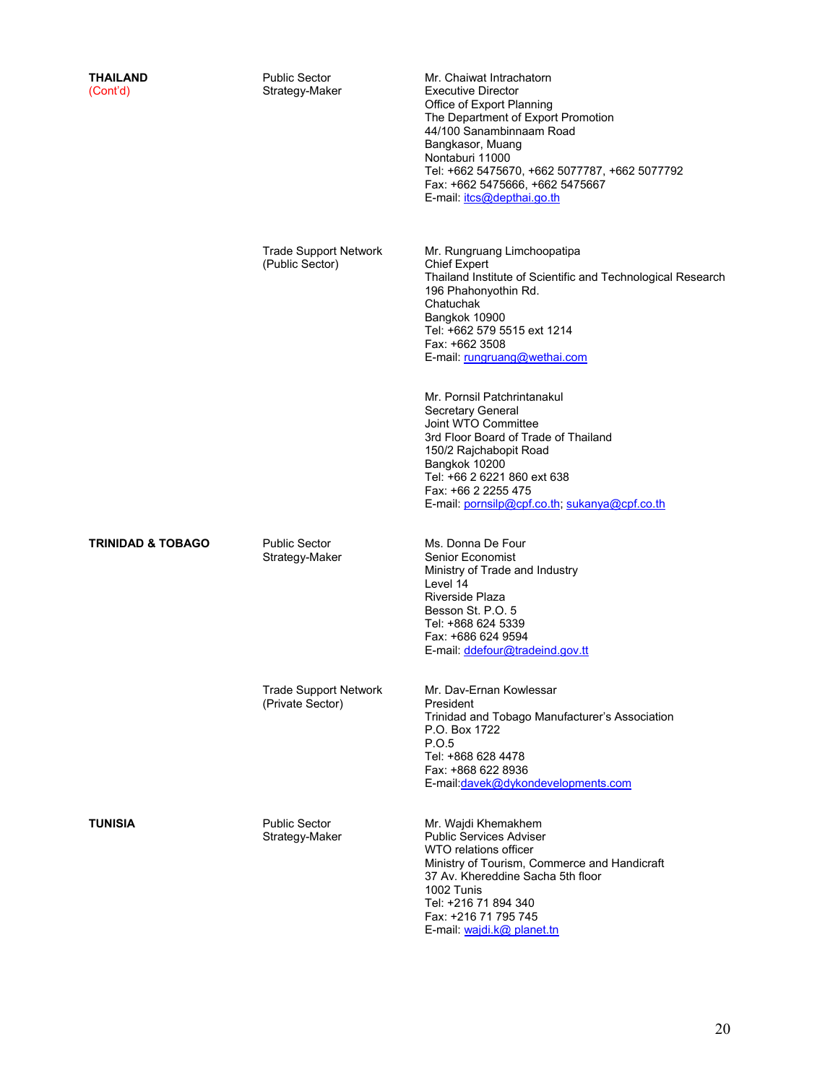| <b>THAILAND</b><br>(Cont'd)  | <b>Public Sector</b><br>Strategy-Maker           | Mr. Chaiwat Intrachatorn<br><b>Executive Director</b><br>Office of Export Planning<br>The Department of Export Promotion<br>44/100 Sanambinnaam Road<br>Bangkasor, Muang<br>Nontaburi 11000<br>Tel: +662 5475670, +662 5077787, +662 5077792<br>Fax: +662 5475666, +662 5475667<br>E-mail: itcs@depthai.go.th |
|------------------------------|--------------------------------------------------|---------------------------------------------------------------------------------------------------------------------------------------------------------------------------------------------------------------------------------------------------------------------------------------------------------------|
|                              | <b>Trade Support Network</b><br>(Public Sector)  | Mr. Rungruang Limchoopatipa<br><b>Chief Expert</b><br>Thailand Institute of Scientific and Technological Research<br>196 Phahonyothin Rd.<br>Chatuchak<br>Bangkok 10900<br>Tel: +662 579 5515 ext 1214<br>Fax: +662 3508<br>E-mail: rungruang@wethai.com                                                      |
|                              |                                                  | Mr. Pornsil Patchrintanakul<br>Secretary General<br>Joint WTO Committee<br>3rd Floor Board of Trade of Thailand<br>150/2 Rajchabopit Road<br>Bangkok 10200<br>Tel: +66 2 6221 860 ext 638<br>Fax: +66 2 2255 475<br>E-mail: pornsilp@cpf.co.th, sukanya@cpf.co.th                                             |
| <b>TRINIDAD &amp; TOBAGO</b> | <b>Public Sector</b><br>Strategy-Maker           | Ms. Donna De Four<br>Senior Economist<br>Ministry of Trade and Industry<br>Level 14<br>Riverside Plaza<br>Besson St. P.O. 5<br>Tel: +868 624 5339<br>Fax: +686 624 9594<br>E-mail: ddefour@tradeind.gov.tt                                                                                                    |
|                              | <b>Trade Support Network</b><br>(Private Sector) | Mr. Dav-Ernan Kowlessar<br>President<br>Trinidad and Tobago Manufacturer's Association<br>P.O. Box 1722<br>P.O.5<br>Tel: +868 628 4478<br>Fax: +868 622 8936<br>E-mail:davek@dykondevelopments.com                                                                                                            |
| TUNISIA                      | <b>Public Sector</b><br>Strategy-Maker           | Mr. Wajdi Khemakhem<br><b>Public Services Adviser</b><br>WTO relations officer<br>Ministry of Tourism, Commerce and Handicraft<br>37 Av. Khereddine Sacha 5th floor<br>1002 Tunis<br>Tel: +216 71 894 340<br>Fax: +216 71 795 745                                                                             |

E-mail: wajdi.k@ planet.tn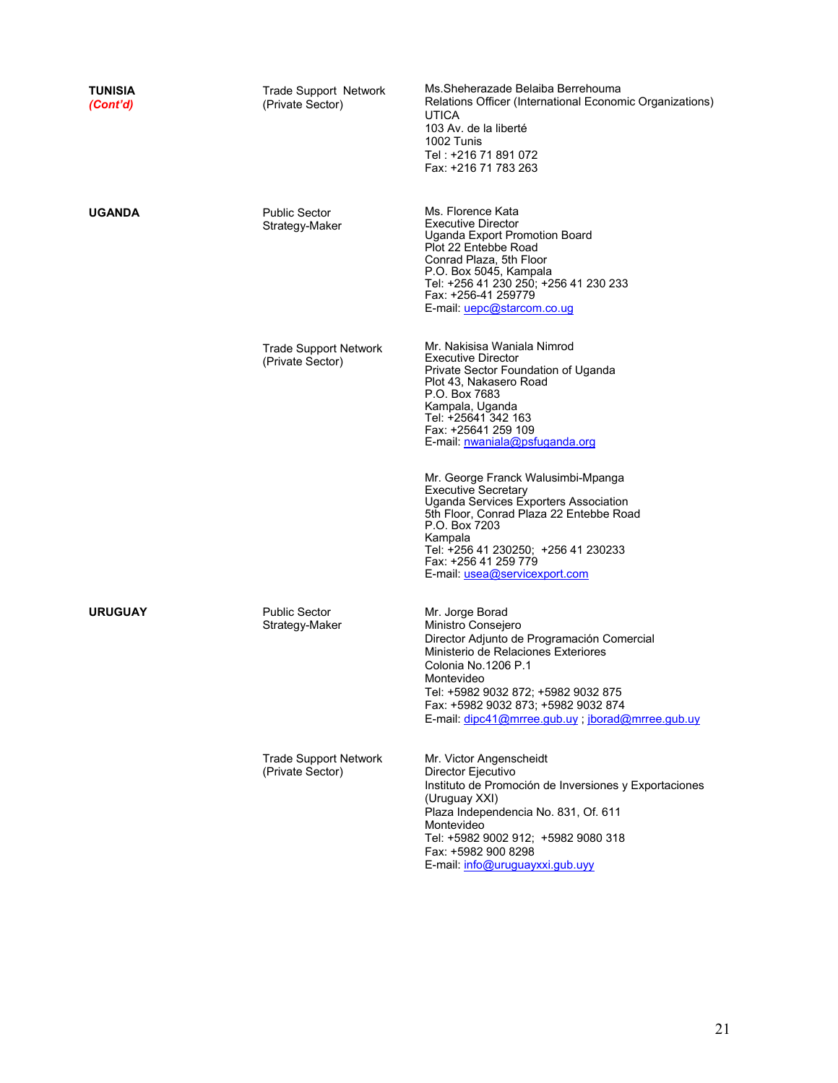| TUNISIA<br>(Cont'd) | <b>Trade Support Network</b><br>(Private Sector) | Ms. Sheherazade Belaiba Berrehouma<br>Relations Officer (International Economic Organizations)<br><b>UTICA</b><br>103 Av. de la liberté<br>1002 Tunis<br>Tel: +216 71 891 072<br>Fax: +216 71 783 263                                                                                                                                                                                                                                                                                                                             |
|---------------------|--------------------------------------------------|-----------------------------------------------------------------------------------------------------------------------------------------------------------------------------------------------------------------------------------------------------------------------------------------------------------------------------------------------------------------------------------------------------------------------------------------------------------------------------------------------------------------------------------|
| <b>UGANDA</b>       | <b>Public Sector</b><br>Strategy-Maker           | Ms. Florence Kata<br><b>Executive Director</b><br>Uganda Export Promotion Board<br>Plot 22 Entebbe Road<br>Conrad Plaza, 5th Floor<br>P.O. Box 5045, Kampala<br>Tel: +256 41 230 250; +256 41 230 233<br>Fax: +256-41 259779<br>E-mail: uepc@starcom.co.ug                                                                                                                                                                                                                                                                        |
|                     | <b>Trade Support Network</b><br>(Private Sector) | Mr. Nakisisa Waniala Nimrod<br><b>Executive Director</b><br>Private Sector Foundation of Uganda<br>Plot 43, Nakasero Road<br>P.O. Box 7683<br>Kampala, Uganda<br>Tel: +25641 342 163<br>Fax: +25641 259 109<br>E-mail: nwaniala@psfuganda.org<br>Mr. George Franck Walusimbi-Mpanga<br><b>Executive Secretary</b><br>Uganda Services Exporters Association<br>5th Floor, Conrad Plaza 22 Entebbe Road<br>P.O. Box 7203<br>Kampala<br>Tel: +256 41 230250; +256 41 230233<br>Fax: +256 41 259 779<br>E-mail. usea@servicexport.com |
| <b>URUGUAY</b>      | <b>Public Sector</b><br>Strategy-Maker           | Mr. Jorge Borad<br>Ministro Consejero<br>Director Adjunto de Programación Comercial<br>Ministerio de Relaciones Exteriores<br>Colonia No. 1206 P.1<br>Montevideo<br>Tel: +5982 9032 872; +5982 9032 875<br>Fax: +5982 9032 873; +5982 9032 874<br>E-mail: dipc41@mrree.gub.uy ; jborad@mrree.gub.uy                                                                                                                                                                                                                               |
|                     | <b>Trade Support Network</b><br>(Private Sector) | Mr. Victor Angenscheidt<br>Director Ejecutivo<br>Instituto de Promoción de Inversiones y Exportaciones<br>(Uruguay XXI)<br>Plaza Independencia No. 831, Of. 611<br>Montevideo<br>Tel: +5982 9002 912; +5982 9080 318<br>Fax: +5982 900 8298<br>E-mail: info@uruguayxxi.gub.uyy                                                                                                                                                                                                                                                    |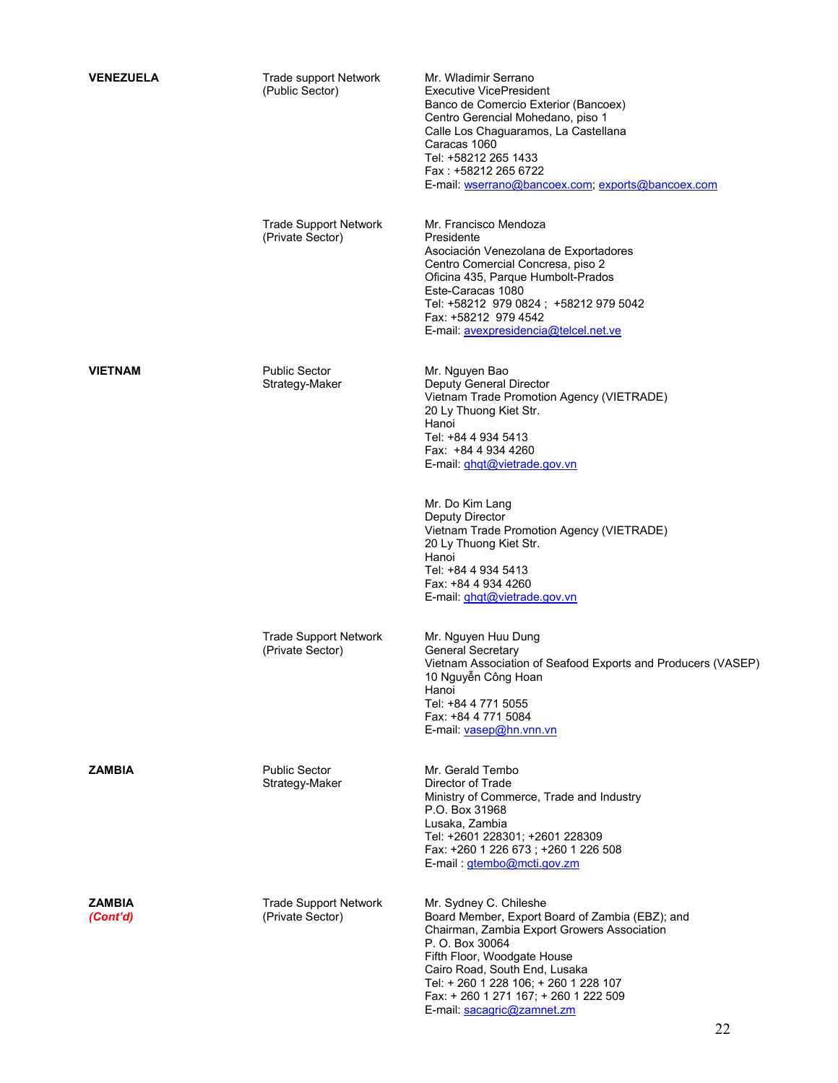| <b>VENEZUELA</b>          | <b>Trade support Network</b><br>(Public Sector)  | Mr. Wladimir Serrano<br><b>Executive VicePresident</b><br>Banco de Comercio Exterior (Bancoex)<br>Centro Gerencial Mohedano, piso 1<br>Calle Los Chaguaramos, La Castellana<br>Caracas 1060<br>Tel: +58212 265 1433<br>Fax: +58212 265 6722<br>E-mail: wserrano@bancoex.com; exports@bancoex.com                            |
|---------------------------|--------------------------------------------------|-----------------------------------------------------------------------------------------------------------------------------------------------------------------------------------------------------------------------------------------------------------------------------------------------------------------------------|
|                           | <b>Trade Support Network</b><br>(Private Sector) | Mr. Francisco Mendoza<br>Presidente<br>Asociación Venezolana de Exportadores<br>Centro Comercial Concresa, piso 2<br>Oficina 435, Parque Humbolt-Prados<br>Este-Caracas 1080<br>Tel: +58212 979 0824; +58212 979 5042<br>Fax: +58212 979 4542<br>E-mail: avexpresidencia@telcel.net.ve                                      |
| <b>VIETNAM</b>            | <b>Public Sector</b><br>Strategy-Maker           | Mr. Nguyen Bao<br>Deputy General Director<br>Vietnam Trade Promotion Agency (VIETRADE)<br>20 Ly Thuong Kiet Str.<br>Hanoi<br>Tel: +84 4 934 5413<br>Fax: +84 4 934 4260<br>E-mail: <i>ghgt@vietrade.gov.vn</i>                                                                                                              |
|                           |                                                  | Mr. Do Kim Lang<br>Deputy Director<br>Vietnam Trade Promotion Agency (VIETRADE)<br>20 Ly Thuong Kiet Str.<br>Hanoi<br>Tel: +84 4 934 5413<br>Fax: +84 4 934 4260<br>E-mail: <i>ghgt@vietrade.gov.vn</i>                                                                                                                     |
|                           | <b>Trade Support Network</b><br>(Private Sector) | Mr. Nguyen Huu Dung<br><b>General Secretary</b><br>Vietnam Association of Seafood Exports and Producers (VASEP)<br>10 Nguyễn Công Hoan<br>Hanoi<br>Tel: +84 4 771 5055<br>Fax: +84 4 771 5084<br>E-mail: vasep@hn.vnn.vn                                                                                                    |
| <b>ZAMBIA</b>             | <b>Public Sector</b><br>Strategy-Maker           | Mr. Gerald Tembo<br>Director of Trade<br>Ministry of Commerce, Trade and Industry<br>P.O. Box 31968<br>Lusaka, Zambia<br>Tel: +2601 228301; +2601 228309<br>Fax: +260 1 226 673; +260 1 226 508<br>E-mail: gtembo@mcti.gov.zm                                                                                               |
| <b>ZAMBIA</b><br>(Cont'd) | <b>Trade Support Network</b><br>(Private Sector) | Mr. Sydney C. Chileshe<br>Board Member, Export Board of Zambia (EBZ); and<br>Chairman, Zambia Export Growers Association<br>P. O. Box 30064<br>Fifth Floor, Woodgate House<br>Cairo Road, South End, Lusaka<br>Tel: + 260 1 228 106; + 260 1 228 107<br>Fax: + 260 1 271 167; + 260 1 222 509<br>E-mail: sacagric@zamnet.zm |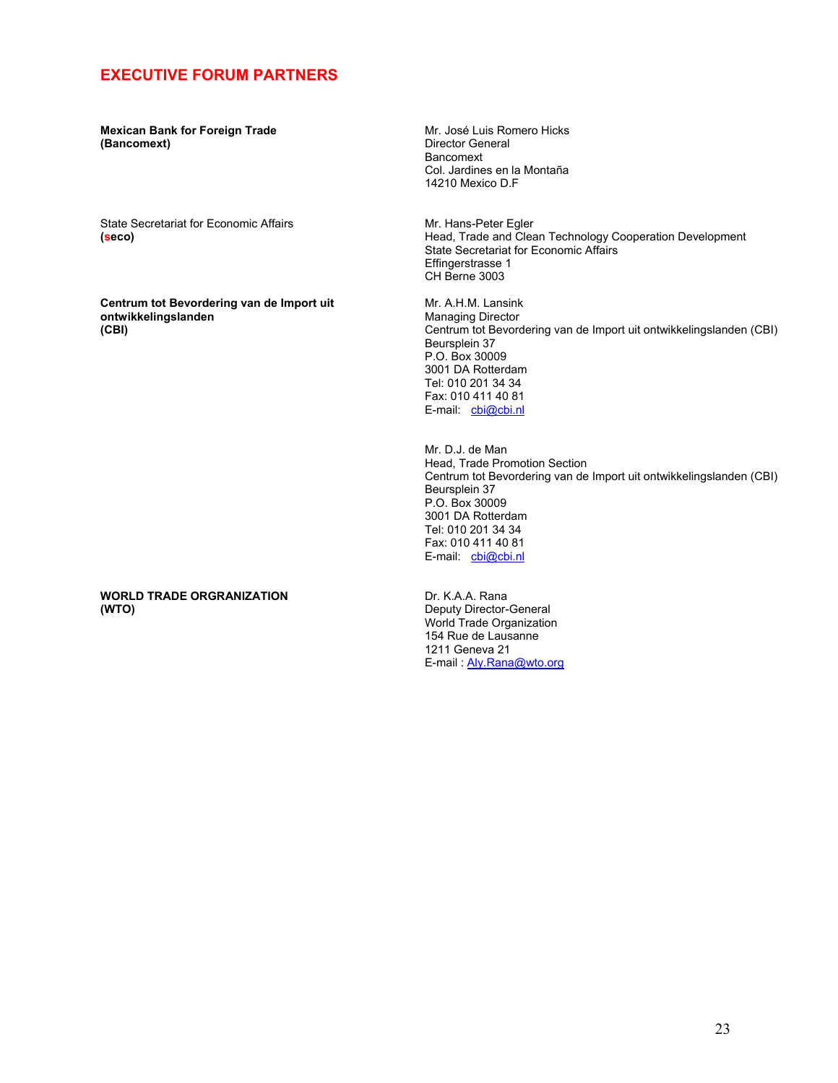### **EXECUTIVE FORUM PARTNERS**

**Mexican Bank for Foreign Trade (Bancomext)** 

State Secretariat for Economic Affairs **(seco)** 

**Centrum tot Bevordering van de Import uit ontwikkelingslanden (CBI)** 

**WORLD TRADE ORGRANIZATION (WTO)** 

Mr. José Luis Romero Hicks Director General Bancomext Col. Jardines en la Montaña 14210 Mexico D.F

Mr. Hans-Peter Egler Head, Trade and Clean Technology Cooperation Development State Secretariat for Economic Affairs Effingerstrasse 1 CH Berne 3003

Mr. A.H.M. Lansink Managing Director Centrum tot Bevordering van de Import uit ontwikkelingslanden (CBI) Beursplein 37 P.O. Box 30009 3001 DA Rotterdam Tel: 010 201 34 34 Fax: 010 411 40 81 E-mail: cbi@cbi.nl

Mr. D.J. de Man Head, Trade Promotion Section Centrum tot Bevordering van de Import uit ontwikkelingslanden (CBI) Beursplein 37 P.O. Box 30009 3001 DA Rotterdam Tel: 010 201 34 34 Fax: 010 411 40 81 E-mail: cbi@cbi.nl

Dr. K.A.A. Rana Deputy Director-General World Trade Organization 154 Rue de Lausanne 1211 Geneva 21 E-mail : Aly.Rana@wto.org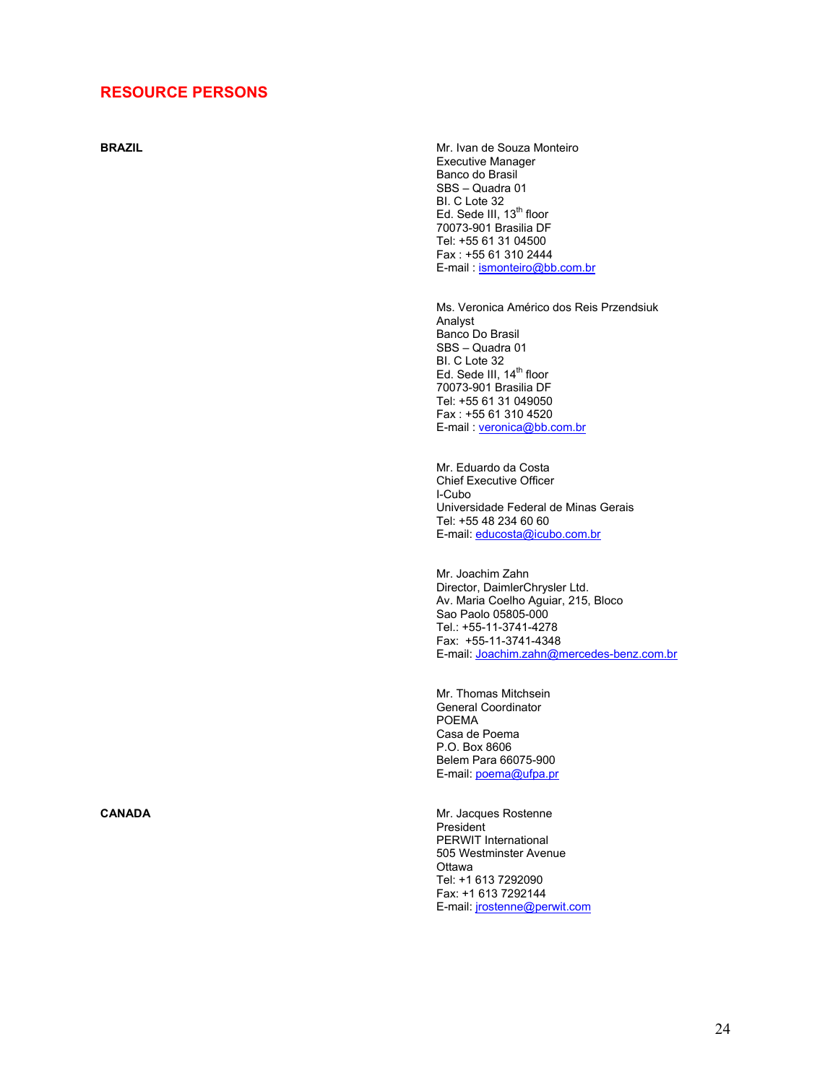#### **RESOURCE PERSONS**

**BRAZIL BRAZIL MRAZIL MRAZIL MRAZIL MRAZIL MRAZIL MRAZIL MRAZIL** Executive Manager Banco do Brasil SBS – Quadra 01 BI. C Lote 32 Ed. Sede III, 13<sup>th</sup> floor 70073-901 Brasilia DF Tel: +55 61 31 04500 Fax : +55 61 310 2444 E-mail : ismonteiro@bb.com.br

> Ms. Veronica Américo dos Reis Przendsiuk Analyst Banco Do Brasil SBS – Quadra 01 BI. C Lote 32 Ed. Sede III, 14<sup>th</sup> floor 70073-901 Brasilia DF Tel: +55 61 31 049050 Fax : +55 61 310 4520 E-mail : veronica@bb.com.br

Mr. Eduardo da Costa Chief Executive Officer I-Cubo Universidade Federal de Minas Gerais Tel: +55 48 234 60 60 E-mail: educosta@icubo.com.br

Mr. Joachim Zahn Director, DaimlerChrysler Ltd. Av. Maria Coelho Aguiar, 215, Bloco Sao Paolo 05805-000 Tel.: +55-11-3741-4278 Fax: +55-11-3741-4348 E-mail: Joachim.zahn@mercedes-benz.com.br

Mr. Thomas Mitchsein General Coordinator POEMA Casa de Poema P.O. Box 8606 Belem Para 66075-900 E-mail: poema@ufpa.pr

**CANADA** Mr. Jacques Rostenne **President** PERWIT International 505 Westminster Avenue **Ottawa** Tel: +1 613 7292090 Fax: +1 613 7292144 E-mail: jrostenne@perwit.com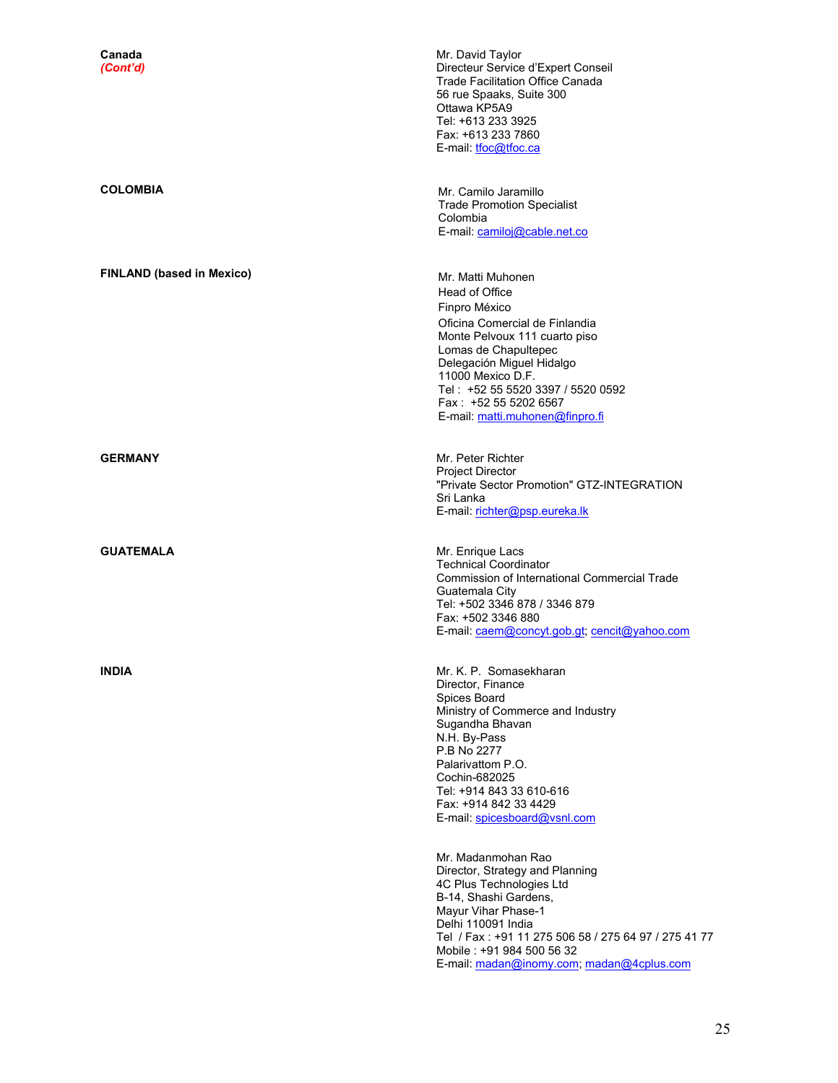| Canada<br>(Cont'd)               | Mr. David Taylor<br>Directeur Service d'Expert Conseil<br>Trade Facilitation Office Canada<br>56 rue Spaaks, Suite 300<br>Ottawa KP5A9<br>Tel: +613 233 3925<br>Fax: +613 233 7860<br>E-mail: <i>tfoc@tfoc.ca</i>                                                                                                                                                                                                                        |
|----------------------------------|------------------------------------------------------------------------------------------------------------------------------------------------------------------------------------------------------------------------------------------------------------------------------------------------------------------------------------------------------------------------------------------------------------------------------------------|
| <b>COLOMBIA</b>                  | Mr. Camilo Jaramillo<br><b>Trade Promotion Specialist</b><br>Colombia<br>E-mail: camiloj@cable.net.co                                                                                                                                                                                                                                                                                                                                    |
| <b>FINLAND (based in Mexico)</b> | Mr. Matti Muhonen<br>Head of Office<br>Finpro México<br>Oficina Comercial de Finlandia<br>Monte Pelvoux 111 cuarto piso<br>Lomas de Chapultepec<br>Delegación Miguel Hidalgo<br>11000 Mexico D.F.<br>Tel: +52 55 5520 3397 / 5520 0592<br>Fax: +52 55 5202 6567<br>E-mail: matti.muhonen@finpro.fi                                                                                                                                       |
| <b>GERMANY</b>                   | Mr. Peter Richter<br><b>Project Director</b><br>"Private Sector Promotion" GTZ-INTEGRATION<br>Sri Lanka<br>E-mail: richter@psp.eureka.lk                                                                                                                                                                                                                                                                                                 |
| <b>GUATEMALA</b>                 | Mr. Enrique Lacs<br><b>Technical Coordinator</b><br>Commission of International Commercial Trade<br>Guatemala City<br>Tel: +502 3346 878 / 3346 879<br>Fax: +502 3346 880<br>E-mail: caem@concyt.gob.gt; cencit@yahoo.com                                                                                                                                                                                                                |
| <b>INDIA</b>                     | Mr. K. P. Somasekharan<br>Director, Finance<br>Spices Board<br>Ministry of Commerce and Industry<br>Sugandha Bhavan<br>N.H. By-Pass<br>P.B No 2277<br>Palarivattom P.O.<br>Cochin-682025<br>Tel: +914 843 33 610-616<br>Fax: +914 842 33 4429<br>E-mail: spicesboard@vsnl.com<br>Mr. Madanmohan Rao<br>Director, Strategy and Planning<br>4C Plus Technologies Ltd<br>B-14, Shashi Gardens,<br>Mayur Vihar Phase-1<br>Delhi 110091 India |
|                                  | Tel / Fax: +91 11 275 506 58 / 275 64 97 / 275 41 77<br>Mobile: +91 984 500 56 32<br>E-mail: madan@inomy.com; madan@4cplus.com                                                                                                                                                                                                                                                                                                           |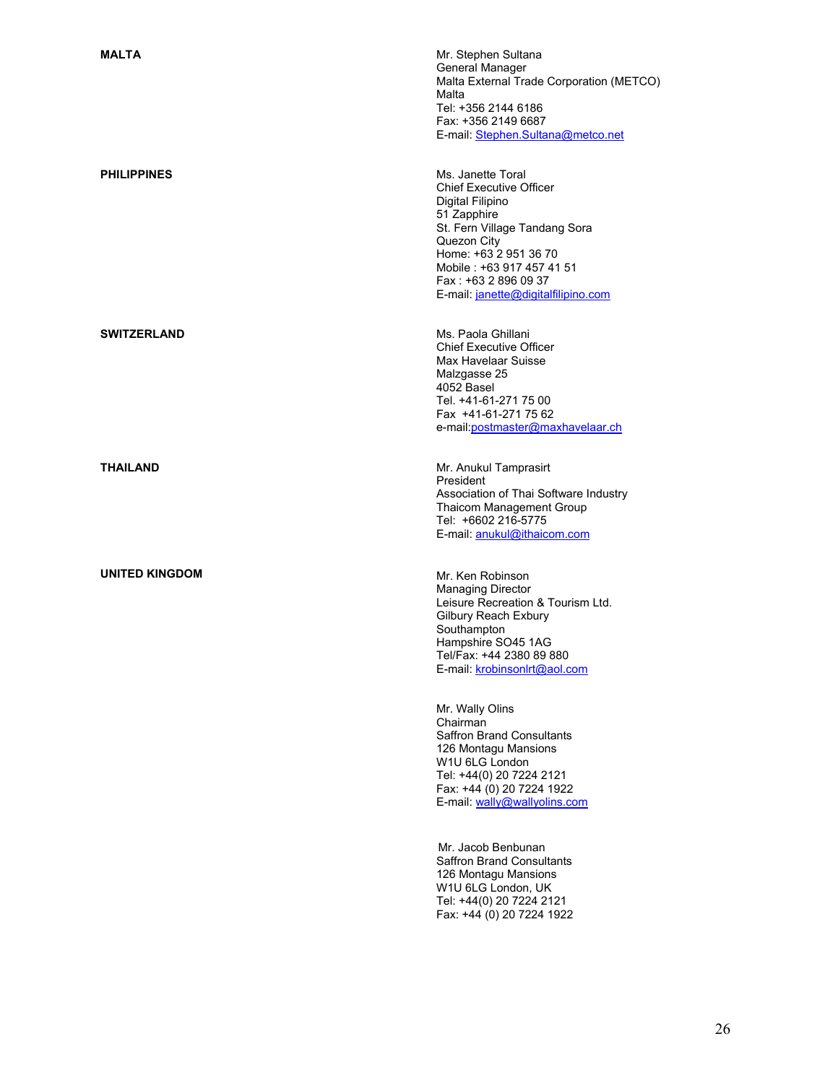**UNITED KINGDOM Mr. Ken Robinson** 

**MALTA MALTA MALTA MR** General Manager Malta External Trade Corporation (METCO) Malta Tel: +356 2144 6186 Fax: +356 2149 6687 E-mail: Stephen.Sultana@metco.net

**PHILIPPINES** Ms. Janette Toral Chief Executive Officer Digital Filipino 51 Zapphire St. Fern Village Tandang Sora Quezon City Home: +63 2 951 36 70 Mobile : +63 917 457 41 51 Fax : +63 2 896 09 37 E-mail: janette@digitalfilipino.com

**SWITZERLAND** Ms. Paola Ghillani Chief Executive Officer Max Havelaar Suisse Malzgasse 25 4052 Basel Tel. +41-61-271 75 00 Fax +41-61-271 75 62 e-mail:postmaster@maxhavelaar.ch

**THAILAND** Mr. Anukul Tamprasirt President Association of Thai Software Industry Thaicom Management Group Tel: +6602 216-5775 E-mail: anukul@ithaicom.com

> Managing Director Leisure Recreation & Tourism Ltd. Gilbury Reach Exbury **Southampton** Hampshire SO45 1AG Tel/Fax: +44 2380 89 880 E-mail: krobinsonlrt@aol.com

Mr. Wally Olins Chairman Saffron Brand Consultants 126 Montagu Mansions W1U 6LG London Tel: +44(0) 20 7224 2121 Fax: +44 (0) 20 7224 1922 E-mail: wally@wallyolins.com

Mr. Jacob Benbunan Saffron Brand Consultants 126 Montagu Mansions W1U 6LG London, UK Tel: +44(0) 20 7224 2121 Fax: +44 (0) 20 7224 1922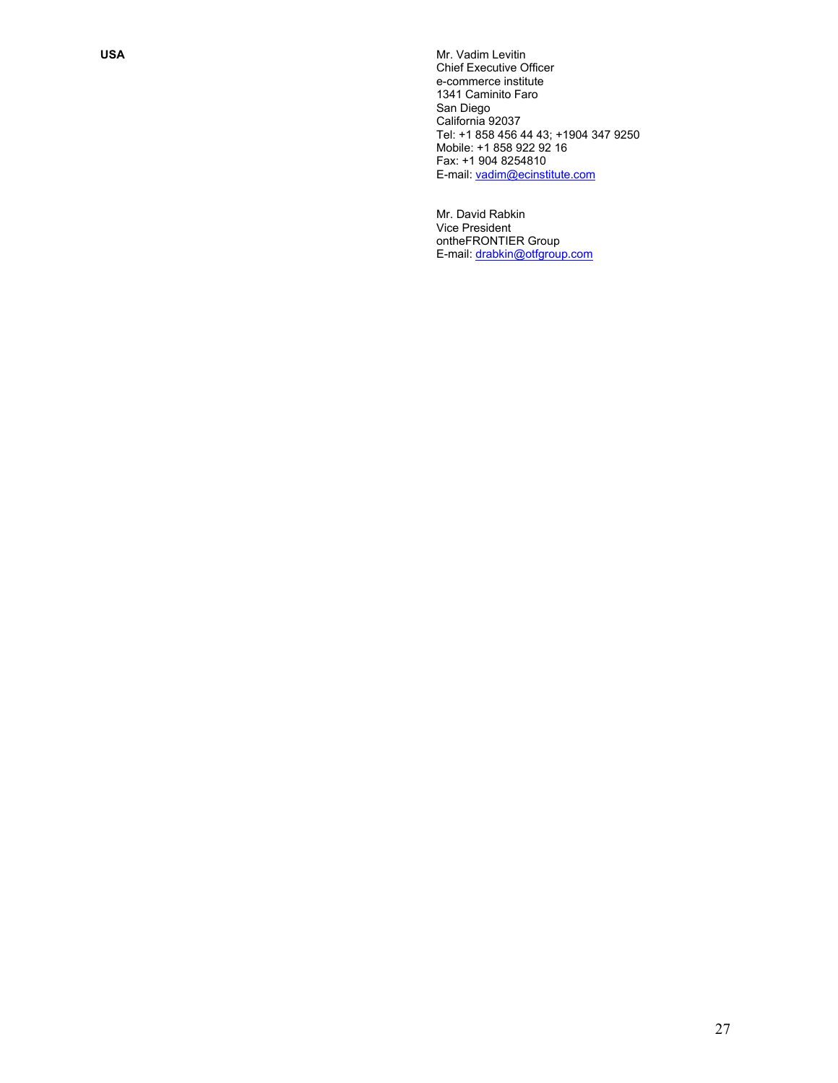**USA** Mr. Vadim Levitin Chief Executive Officer e-commerce institute 1341 Caminito Faro San Diego California 92037 Tel: +1 858 456 44 43; +1904 347 9250 Mobile: +1 858 922 92 16 Fax: +1 904 8254810 E-mail: vadim@ecinstitute.com

> Mr. David Rabkin Vice President ontheFRONTIER Group E-mail: drabkin@otfgroup.com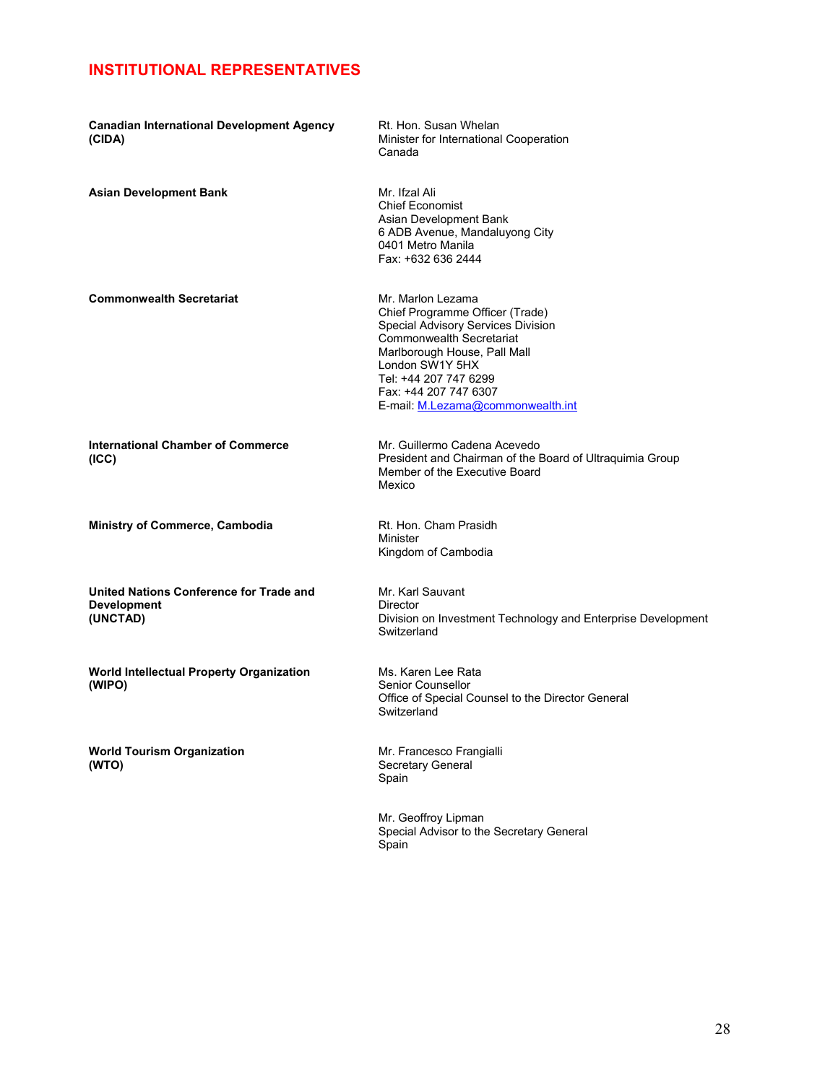## **INSTITUTIONAL REPRESENTATIVES**

| <b>Canadian International Development Agency</b><br>(CIDA)                | Rt. Hon. Susan Whelan<br>Minister for International Cooperation<br>Canada                                                                                                                                                                                               |
|---------------------------------------------------------------------------|-------------------------------------------------------------------------------------------------------------------------------------------------------------------------------------------------------------------------------------------------------------------------|
| <b>Asian Development Bank</b>                                             | Mr. Ifzal Ali<br><b>Chief Economist</b><br>Asian Development Bank<br>6 ADB Avenue, Mandaluyong City<br>0401 Metro Manila<br>Fax: +632 636 2444                                                                                                                          |
| <b>Commonwealth Secretariat</b>                                           | Mr. Marlon Lezama<br>Chief Programme Officer (Trade)<br>Special Advisory Services Division<br><b>Commonwealth Secretariat</b><br>Marlborough House, Pall Mall<br>London SW1Y 5HX<br>Tel: +44 207 747 6299<br>Fax: +44 207 747 6307<br>E-mail: M.Lezama@commonwealth.int |
| <b>International Chamber of Commerce</b><br>(ICC)                         | Mr. Guillermo Cadena Acevedo<br>President and Chairman of the Board of Ultraguimia Group<br>Member of the Executive Board<br>Mexico                                                                                                                                     |
| <b>Ministry of Commerce, Cambodia</b>                                     | Rt. Hon. Cham Prasidh<br>Minister<br>Kingdom of Cambodia                                                                                                                                                                                                                |
| United Nations Conference for Trade and<br><b>Development</b><br>(UNCTAD) | Mr. Karl Sauvant<br><b>Director</b><br>Division on Investment Technology and Enterprise Development<br>Switzerland                                                                                                                                                      |
| World Intellectual Property Organization<br>(WIPO)                        | Ms. Karen Lee Rata<br>Senior Counsellor<br>Office of Special Counsel to the Director General<br>Switzerland                                                                                                                                                             |
| <b>World Tourism Organization</b><br>(WTO)                                | Mr. Francesco Frangialli<br>Secretary General<br>Spain                                                                                                                                                                                                                  |
|                                                                           | Mr. Geoffroy Lipman<br>Special Advisor to the Secretary General<br>Spain                                                                                                                                                                                                |